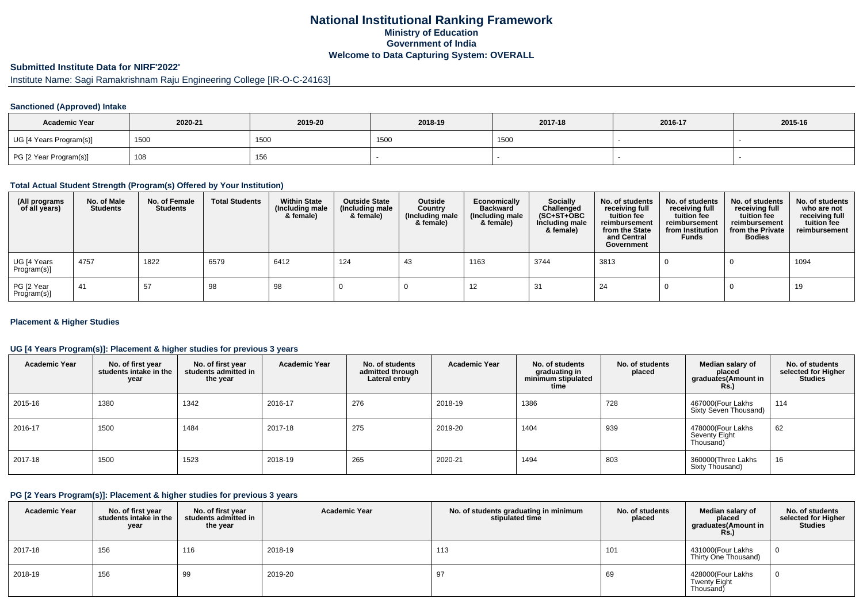# **National Institutional Ranking FrameworkMinistry of Education Government of IndiaWelcome to Data Capturing System: OVERALL**

# **Submitted Institute Data for NIRF'2022'**

Institute Name: Sagi Ramakrishnam Raju Engineering College [IR-O-C-24163]

## **Sanctioned (Approved) Intake**

| <b>Academic Year</b>    | 2020-21 | 2019-20 | 2018-19 | 2017-18 | 2016-17 | 2015-16 |
|-------------------------|---------|---------|---------|---------|---------|---------|
| UG [4 Years Program(s)] | 1500    | 1500    | 1500    | 1500    |         |         |
| PG [2 Year Program(s)]  | 108     | 156     |         |         |         |         |

#### **Total Actual Student Strength (Program(s) Offered by Your Institution)**

| (All programs<br>of all years) | No. of Male<br><b>Students</b> | No. of Female<br><b>Students</b> | <b>Total Students</b> | <b>Within State</b><br>(Including male<br>& female) | <b>Outside State</b><br>(Including male<br>& female) | Outside<br>Country<br>(Including male<br>& female) | Economically<br><b>Backward</b><br>(Including male<br>& female) | Socially<br>Challenged<br>$(SC+ST+OBC)$<br>Including male<br>& female) | No. of students<br>receiving full<br>tuition fee<br>reimbursement<br>from the State<br>and Central<br>Government | No. of students<br>receiving full<br>tuition fee<br>reimbursement<br>from Institution<br><b>Funds</b> | No. of students<br>receiving full<br>tuition fee<br>reimbursement<br>from the Private<br><b>Bodies</b> | No. of students<br>who are not<br>receiving full<br>tuition fee<br>reimbursement |
|--------------------------------|--------------------------------|----------------------------------|-----------------------|-----------------------------------------------------|------------------------------------------------------|----------------------------------------------------|-----------------------------------------------------------------|------------------------------------------------------------------------|------------------------------------------------------------------------------------------------------------------|-------------------------------------------------------------------------------------------------------|--------------------------------------------------------------------------------------------------------|----------------------------------------------------------------------------------|
| UG [4 Years<br>Program(s)]     | 4757                           | 1822                             | 6579                  | 6412                                                | 124                                                  | 43                                                 | 1163                                                            | 3744                                                                   | 3813                                                                                                             |                                                                                                       |                                                                                                        | 1094                                                                             |
| PG [2 Year<br>Program(s)]      | -41                            | 57                               | 98                    | 98                                                  |                                                      |                                                    | 12                                                              | 31                                                                     | 24                                                                                                               |                                                                                                       |                                                                                                        | 19                                                                               |

### **Placement & Higher Studies**

### **UG [4 Years Program(s)]: Placement & higher studies for previous 3 years**

| <b>Academic Year</b> | No. of first year<br>students intake in the<br>year | No. of first vear<br>students admitted in<br>the year | <b>Academic Year</b> | No. of students<br>admitted through<br>Lateral entry | <b>Academic Year</b> | No. of students<br>graduating in<br>minimum stipulated<br>time | No. of students<br>placed | Median salary of<br>placed<br>graduates(Amount in<br><b>Rs.</b> ) | No. of students<br>selected for Higher<br><b>Studies</b> |
|----------------------|-----------------------------------------------------|-------------------------------------------------------|----------------------|------------------------------------------------------|----------------------|----------------------------------------------------------------|---------------------------|-------------------------------------------------------------------|----------------------------------------------------------|
| 2015-16              | 1380                                                | 1342                                                  | 2016-17              | 276                                                  | 2018-19              | 1386                                                           | 728                       | 467000(Four Lakhs<br>Sixty Seven Thousand)                        | 114                                                      |
| 2016-17              | 1500                                                | 1484                                                  | 2017-18              | 275                                                  | 2019-20              | 1404                                                           | 939                       | 478000(Four Lakhs<br>Seventy Eight<br>Thousand)                   | 62                                                       |
| 2017-18              | 1500                                                | 1523                                                  | 2018-19              | 265                                                  | 2020-21              | 1494                                                           | 803                       | 360000(Three Lakhs<br>Sixty Thousand)                             | 16                                                       |

### **PG [2 Years Program(s)]: Placement & higher studies for previous 3 years**

| <b>Academic Year</b> | No. of first year<br>students intake in the<br>year | No. of first year<br>students admitted in<br>the year | <b>Academic Year</b> | No. of students graduating in minimum<br>stipulated time | No. of students<br>placed | Median salary of<br>placed<br>graduates(Amount in<br>Rs.) | No. of students<br>selected for Higher<br><b>Studies</b> |
|----------------------|-----------------------------------------------------|-------------------------------------------------------|----------------------|----------------------------------------------------------|---------------------------|-----------------------------------------------------------|----------------------------------------------------------|
| 2017-18              | 156                                                 | 116                                                   | 2018-19              | 113                                                      | 101                       | 431000(Four Lakhs<br>Thirty One Thousand)                 |                                                          |
| 2018-19              | 156                                                 | 99                                                    | 2019-20              | 97                                                       | 69                        | 428000(Four Lakhs<br>Twenty Eight<br>Thousand)            |                                                          |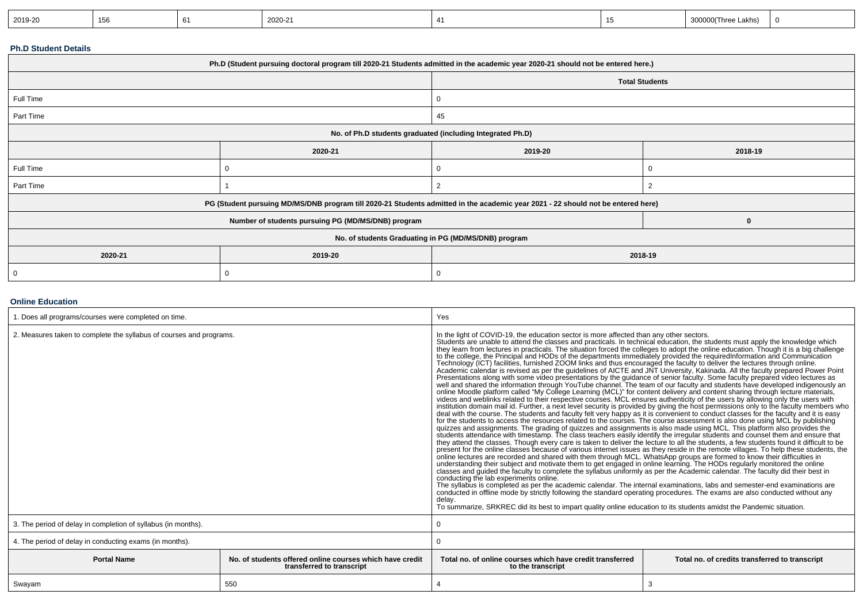|  | 2019-20 | 156<br>. .<br>- - |  | 2020-21 |  |  | 'Three Lakhs)<br>א זו זו זא |  |
|--|---------|-------------------|--|---------|--|--|-----------------------------|--|
|--|---------|-------------------|--|---------|--|--|-----------------------------|--|

## **Ph.D Student Details**

| Ph.D (Student pursuing doctoral program till 2020-21 Students admitted in the academic year 2020-21 should not be entered here.) |                                                            |    |                       |  |  |
|----------------------------------------------------------------------------------------------------------------------------------|------------------------------------------------------------|----|-----------------------|--|--|
|                                                                                                                                  |                                                            |    | <b>Total Students</b> |  |  |
| Full Time                                                                                                                        |                                                            |    |                       |  |  |
| Part Time                                                                                                                        |                                                            | 45 |                       |  |  |
|                                                                                                                                  | No. of Ph.D students graduated (including Integrated Ph.D) |    |                       |  |  |
| 2019-20<br>2020-21<br>2018-19                                                                                                    |                                                            |    |                       |  |  |
| Full Time                                                                                                                        |                                                            |    |                       |  |  |
| Part Time                                                                                                                        |                                                            | 2  |                       |  |  |
| PG (Student pursuing MD/MS/DNB program till 2020-21 Students admitted in the academic year 2021 - 22 should not be entered here) |                                                            |    |                       |  |  |
|                                                                                                                                  | Number of students pursuing PG (MD/MS/DNB) program<br>0    |    |                       |  |  |
| No. of students Graduating in PG (MD/MS/DNB) program                                                                             |                                                            |    |                       |  |  |
| 2020-21<br>2019-20<br>2018-19                                                                                                    |                                                            |    |                       |  |  |
| 0                                                                                                                                |                                                            |    |                       |  |  |

### **Online Education**

| 1. Does all programs/courses were completed on time.                                                        |     | Yes                                                                                                                                                                                                                                                                                                                                                                                                                                                                                                                                                                                                                                                                                                                                                                                                                                                                                                                                                                                                                                                                                                                                                                                                                                                                                                                                                                                                                                                                                                                                                                                                                                                                                                                                                                                                                                                                                                                                                                                                                                                                                                                                                                                                                                                                                                                                                                                                                                                                                                                                                                                                                                                                                                                                                                                                                                     |                                                                                                                                       |  |  |
|-------------------------------------------------------------------------------------------------------------|-----|-----------------------------------------------------------------------------------------------------------------------------------------------------------------------------------------------------------------------------------------------------------------------------------------------------------------------------------------------------------------------------------------------------------------------------------------------------------------------------------------------------------------------------------------------------------------------------------------------------------------------------------------------------------------------------------------------------------------------------------------------------------------------------------------------------------------------------------------------------------------------------------------------------------------------------------------------------------------------------------------------------------------------------------------------------------------------------------------------------------------------------------------------------------------------------------------------------------------------------------------------------------------------------------------------------------------------------------------------------------------------------------------------------------------------------------------------------------------------------------------------------------------------------------------------------------------------------------------------------------------------------------------------------------------------------------------------------------------------------------------------------------------------------------------------------------------------------------------------------------------------------------------------------------------------------------------------------------------------------------------------------------------------------------------------------------------------------------------------------------------------------------------------------------------------------------------------------------------------------------------------------------------------------------------------------------------------------------------------------------------------------------------------------------------------------------------------------------------------------------------------------------------------------------------------------------------------------------------------------------------------------------------------------------------------------------------------------------------------------------------------------------------------------------------------------------------------------------------|---------------------------------------------------------------------------------------------------------------------------------------|--|--|
| 2. Measures taken to complete the syllabus of courses and programs.                                         |     | In the light of COVID-19, the education sector is more affected than any other sectors.<br>Students are unable to attend the classes and practicals. In technical education, the students must apply the knowledge which<br>they learn from lectures in practicals. The situation forced the colleges to adopt the online education. Though it is a big challenge<br>to the college, the Principal and HODs of the departments immediately provided the requiredInformation and Communication<br>Technology (ICT) facilities, furnished ZOOM links and thus encouraged the faculty to deliver the lect<br>Academic calendar is revised as per the guidelines of AICTE and JNT University, Kakinada. All the faculty prepared Power Point<br>Presentations along with some video presentations by the guidance of senior faculty. Some faculty prepared video lectures as<br>well and shared the information through YouTube channel. The team of our faculty and students hav<br>online Moodle platform called "My College Learning (MCL)" for content delivery and content sharing through lecture materials,<br>videos and weblinks related to their respective courses. MCL ensures authenticity of the users by allowing only the users with<br>deal with the course. The students and faculty felt very happy as it is convenient to conduct classes for the faculty and it is easy for the students to access the resources related to the courses. The course assessment is<br>quizzes and assignments. The grading of quizzes and assignments is also made using MCL. This platform also provides the<br>students attendance with timestamp. The class teachers easily identify the irregular students and counsel them and ensure that<br>they attend the classes. Though every care is taken to deliver the lecture to all the students, a few students found it difficult to be<br>present for the online classes because of various internet issues as they reside in the remote villages. To help these students, the<br>online lectures are recorded and shared with them through MCL. WhatsApp groups are formed to know their difficulties in<br>understanding their subject and motivate them to get engaged in online learning. The HODs regularly monitored the online<br>classes and guided the faculty to complete the syllabus uniformly as per the Academic calendar. The faculty did their best in<br>conducting the lab experiments online.<br>The syllabus is completed as per the academic calendar. The internal examinations, labs and semester-end examinations are conducted in offline mode by strictly following the standard operating procedures. The exams are als<br>delav.<br>To summarize, SRKREC did its best to impart quality online education to its students amidst the Pandemic situation. | institution domain mail id. Further, a next level security is provided by giving the host permissions only to the faculty members who |  |  |
| 3. The period of delay in completion of syllabus (in months).                                               |     |                                                                                                                                                                                                                                                                                                                                                                                                                                                                                                                                                                                                                                                                                                                                                                                                                                                                                                                                                                                                                                                                                                                                                                                                                                                                                                                                                                                                                                                                                                                                                                                                                                                                                                                                                                                                                                                                                                                                                                                                                                                                                                                                                                                                                                                                                                                                                                                                                                                                                                                                                                                                                                                                                                                                                                                                                                         |                                                                                                                                       |  |  |
| 4. The period of delay in conducting exams (in months).                                                     |     |                                                                                                                                                                                                                                                                                                                                                                                                                                                                                                                                                                                                                                                                                                                                                                                                                                                                                                                                                                                                                                                                                                                                                                                                                                                                                                                                                                                                                                                                                                                                                                                                                                                                                                                                                                                                                                                                                                                                                                                                                                                                                                                                                                                                                                                                                                                                                                                                                                                                                                                                                                                                                                                                                                                                                                                                                                         |                                                                                                                                       |  |  |
| <b>Portal Name</b><br>No. of students offered online courses which have credit<br>transferred to transcript |     | Total no, of online courses which have credit transferred<br>to the transcript                                                                                                                                                                                                                                                                                                                                                                                                                                                                                                                                                                                                                                                                                                                                                                                                                                                                                                                                                                                                                                                                                                                                                                                                                                                                                                                                                                                                                                                                                                                                                                                                                                                                                                                                                                                                                                                                                                                                                                                                                                                                                                                                                                                                                                                                                                                                                                                                                                                                                                                                                                                                                                                                                                                                                          | Total no. of credits transferred to transcript                                                                                        |  |  |
| Swayam                                                                                                      | 550 | 4                                                                                                                                                                                                                                                                                                                                                                                                                                                                                                                                                                                                                                                                                                                                                                                                                                                                                                                                                                                                                                                                                                                                                                                                                                                                                                                                                                                                                                                                                                                                                                                                                                                                                                                                                                                                                                                                                                                                                                                                                                                                                                                                                                                                                                                                                                                                                                                                                                                                                                                                                                                                                                                                                                                                                                                                                                       | 3                                                                                                                                     |  |  |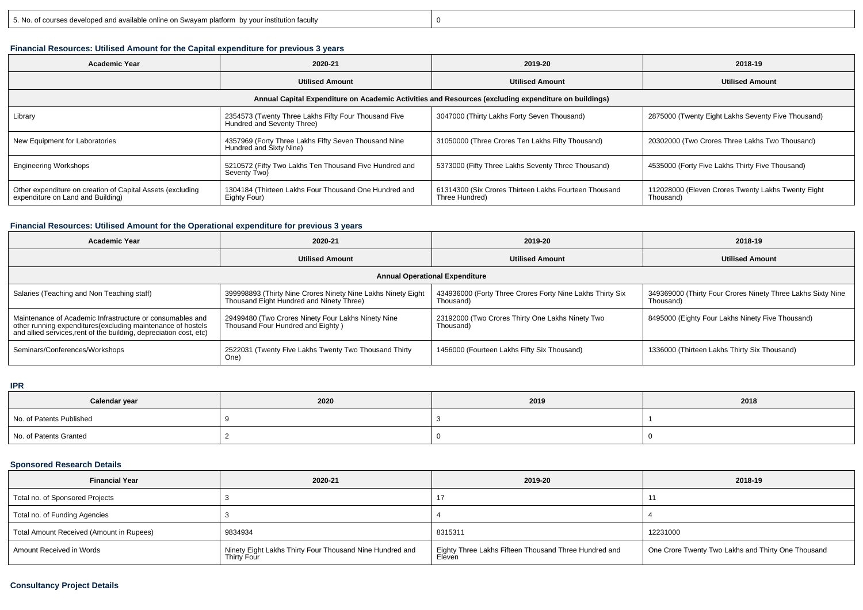y 0

# **Financial Resources: Utilised Amount for the Capital expenditure for previous 3 years**

| <b>Academic Year</b>                                                                            | 2020-21                                                                            | 2019-20                                                                                              | 2018-19                                                         |
|-------------------------------------------------------------------------------------------------|------------------------------------------------------------------------------------|------------------------------------------------------------------------------------------------------|-----------------------------------------------------------------|
|                                                                                                 | <b>Utilised Amount</b>                                                             | <b>Utilised Amount</b>                                                                               | <b>Utilised Amount</b>                                          |
|                                                                                                 |                                                                                    | Annual Capital Expenditure on Academic Activities and Resources (excluding expenditure on buildings) |                                                                 |
| Library                                                                                         | 2354573 (Twenty Three Lakhs Fifty Four Thousand Five<br>Hundred and Seventy Three) | 3047000 (Thirty Lakhs Forty Seven Thousand)                                                          | 2875000 (Twenty Eight Lakhs Seventy Five Thousand)              |
| New Equipment for Laboratories                                                                  | 4357969 (Forty Three Lakhs Fifty Seven Thousand Nine<br>Hundred and Sixty Nine)    | 31050000 (Three Crores Ten Lakhs Fifty Thousand)                                                     | 20302000 (Two Crores Three Lakhs Two Thousand)                  |
| <b>Engineering Workshops</b>                                                                    | 5210572 (Fifty Two Lakhs Ten Thousand Five Hundred and<br>Seventy Two)             | 5373000 (Fifty Three Lakhs Seventy Three Thousand)                                                   | 4535000 (Forty Five Lakhs Thirty Five Thousand)                 |
| Other expenditure on creation of Capital Assets (excluding<br>expenditure on Land and Building) | 1304184 (Thirteen Lakhs Four Thousand One Hundred and<br>Eighty Four)              | 61314300 (Six Crores Thirteen Lakhs Fourteen Thousand<br>Three Hundred)                              | 112028000 (Eleven Crores Twenty Lakhs Twenty Eight<br>Thousand) |

#### **Financial Resources: Utilised Amount for the Operational expenditure for previous 3 years**

| <b>Academic Year</b>                                                                                                                                                                           | 2020-21                                                                                                  | 2019-20                                                                | 2018-19                                                                  |  |  |  |  |  |
|------------------------------------------------------------------------------------------------------------------------------------------------------------------------------------------------|----------------------------------------------------------------------------------------------------------|------------------------------------------------------------------------|--------------------------------------------------------------------------|--|--|--|--|--|
|                                                                                                                                                                                                | <b>Utilised Amount</b>                                                                                   | <b>Utilised Amount</b>                                                 | <b>Utilised Amount</b>                                                   |  |  |  |  |  |
|                                                                                                                                                                                                | <b>Annual Operational Expenditure</b>                                                                    |                                                                        |                                                                          |  |  |  |  |  |
| Salaries (Teaching and Non Teaching staff)                                                                                                                                                     | 399998893 (Thirty Nine Crores Ninety Nine Lakhs Ninety Eight<br>Thousand Eight Hundred and Ninety Three) | 434936000 (Forty Three Crores Forty Nine Lakhs Thirty Six<br>Thousand) | 349369000 (Thirty Four Crores Ninety Three Lakhs Sixty Nine<br>Thousand) |  |  |  |  |  |
| Maintenance of Academic Infrastructure or consumables and<br>other running expenditures(excluding maintenance of hostels<br>and allied services, rent of the building, depreciation cost, etc) | 29499480 (Two Crores Ninety Four Lakhs Ninety Nine<br>Thousand Four Hundred and Eighty )                 | 23192000 (Two Crores Thirty One Lakhs Ninety Two<br>Thousand)          | 8495000 (Eighty Four Lakhs Ninety Five Thousand)                         |  |  |  |  |  |
| Seminars/Conferences/Workshops                                                                                                                                                                 | 2522031 (Twenty Five Lakhs Twenty Two Thousand Thirty<br>One)                                            | 1456000 (Fourteen Lakhs Fifty Six Thousand)                            | 1336000 (Thirteen Lakhs Thirty Six Thousand)                             |  |  |  |  |  |

#### **IPR**

| Calendar year            | 2020 | 2019 | 2018 |
|--------------------------|------|------|------|
| No. of Patents Published |      |      |      |
| No. of Patents Granted   |      |      |      |

# **Sponsored Research Details**

| <b>Financial Year</b>                    | 2020-21                                                                 | 2019-20                                                         | 2018-19                                            |
|------------------------------------------|-------------------------------------------------------------------------|-----------------------------------------------------------------|----------------------------------------------------|
| Total no. of Sponsored Projects          |                                                                         |                                                                 |                                                    |
| Total no. of Funding Agencies            |                                                                         |                                                                 |                                                    |
| Total Amount Received (Amount in Rupees) | 9834934                                                                 | 8315311                                                         | 12231000                                           |
| Amount Received in Words                 | Ninety Eight Lakhs Thirty Four Thousand Nine Hundred and<br>Thirty Four | Eighty Three Lakhs Fifteen Thousand Three Hundred and<br>Eleven | One Crore Twenty Two Lakhs and Thirty One Thousand |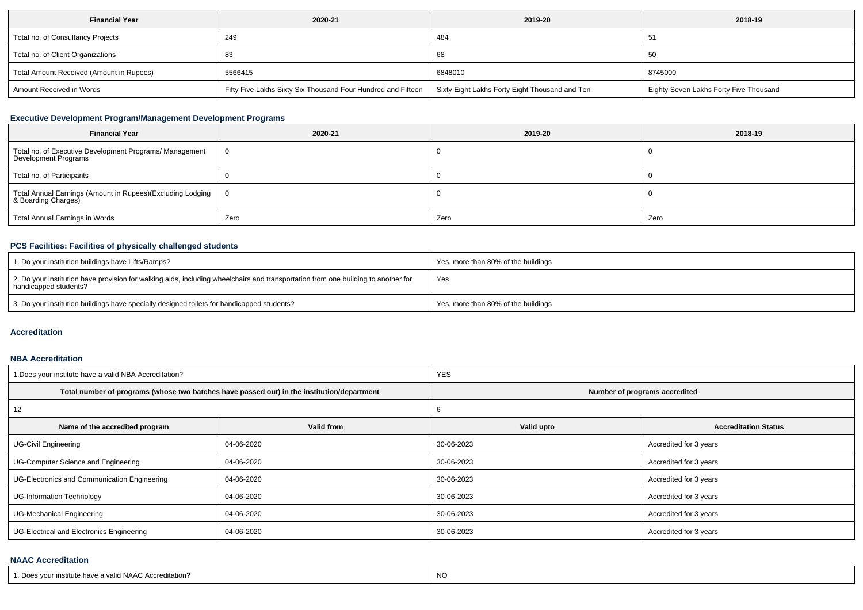| <b>Financial Year</b>                    | 2020-21                                                      | 2019-20                                        | 2018-19                                |
|------------------------------------------|--------------------------------------------------------------|------------------------------------------------|----------------------------------------|
| Total no. of Consultancy Projects        | 249                                                          | 484                                            |                                        |
| Total no. of Client Organizations        |                                                              | 68                                             | -50                                    |
| Total Amount Received (Amount in Rupees) | 5566415                                                      | 6848010                                        | 8745000                                |
| Amount Received in Words                 | Fifty Five Lakhs Sixty Six Thousand Four Hundred and Fifteen | Sixty Eight Lakhs Forty Eight Thousand and Ten | Eighty Seven Lakhs Forty Five Thousand |

# **Executive Development Program/Management Development Programs**

| <b>Financial Year</b>                                                             | 2020-21        | 2019-20 | 2018-19 |
|-----------------------------------------------------------------------------------|----------------|---------|---------|
| Total no. of Executive Development Programs/ Management<br>Development Programs   | $\overline{0}$ |         |         |
| Total no. of Participants                                                         |                |         |         |
| Total Annual Earnings (Amount in Rupees)(Excluding Lodging<br>& Boarding Charges) | $\bf{0}$       |         |         |
| Total Annual Earnings in Words                                                    | Zero           | Zero    | Zero    |

# **PCS Facilities: Facilities of physically challenged students**

| 1. Do your institution buildings have Lifts/Ramps?                                                                                                         | Yes, more than 80% of the buildings |
|------------------------------------------------------------------------------------------------------------------------------------------------------------|-------------------------------------|
| 2. Do your institution have provision for walking aids, including wheelchairs and transportation from one building to another for<br>handicapped students? | Yes                                 |
| 3. Do your institution buildings have specially designed toilets for handicapped students?                                                                 | Yes, more than 80% of the buildings |

### **Accreditation**

#### **NBA Accreditation**

| 1. Does your institute have a valid NBA Accreditation? |                                                                                            | <b>YES</b> |                               |  |  |
|--------------------------------------------------------|--------------------------------------------------------------------------------------------|------------|-------------------------------|--|--|
|                                                        | Total number of programs (whose two batches have passed out) in the institution/department |            | Number of programs accredited |  |  |
| 12                                                     |                                                                                            | O          |                               |  |  |
| Name of the accredited program                         | Valid from                                                                                 | Valid upto | <b>Accreditation Status</b>   |  |  |
| <b>UG-Civil Engineering</b>                            | 04-06-2020                                                                                 | 30-06-2023 | Accredited for 3 years        |  |  |
| UG-Computer Science and Engineering                    | 04-06-2020                                                                                 | 30-06-2023 | Accredited for 3 years        |  |  |
| UG-Electronics and Communication Engineering           | 04-06-2020                                                                                 | 30-06-2023 | Accredited for 3 years        |  |  |
| <b>UG-Information Technology</b>                       | 04-06-2020                                                                                 | 30-06-2023 | Accredited for 3 years        |  |  |
| UG-Mechanical Engineering                              | 04-06-2020                                                                                 | 30-06-2023 | Accredited for 3 years        |  |  |
| UG-Electrical and Electronics Engineering              | 04-06-2020                                                                                 | 30-06-2023 | Accredited for 3 years        |  |  |

# **NAAC Accreditation**

| 1. Does vour institute have a valid NAAC Accreditation? | NO |
|---------------------------------------------------------|----|
|---------------------------------------------------------|----|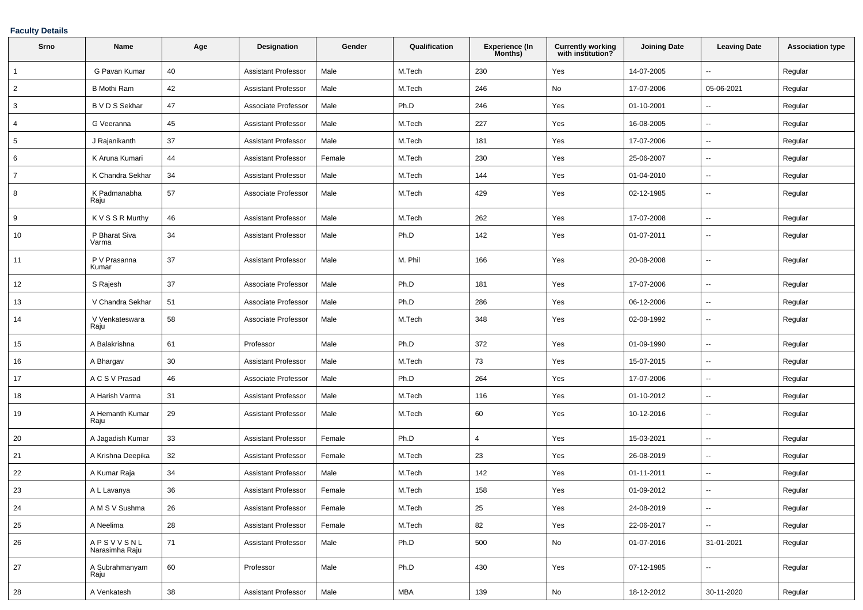# **Faculty Details**

| Srno           | Name                       | Age    | <b>Designation</b>         | Gender | Qualification | <b>Experience (In</b><br>Months) | <b>Currently working</b><br>with institution? | <b>Joining Date</b> | <b>Leaving Date</b>      | <b>Association type</b> |
|----------------|----------------------------|--------|----------------------------|--------|---------------|----------------------------------|-----------------------------------------------|---------------------|--------------------------|-------------------------|
| $\mathbf{1}$   | G Pavan Kumar              | 40     | <b>Assistant Professor</b> | Male   | M.Tech        | 230                              | Yes                                           | 14-07-2005          | $\overline{a}$           | Regular                 |
| $\overline{2}$ | <b>B</b> Mothi Ram         | 42     | <b>Assistant Professor</b> | Male   | M.Tech        | 246                              | No                                            | 17-07-2006          | 05-06-2021               | Regular                 |
| 3              | B V D S Sekhar             | 47     | Associate Professor        | Male   | Ph.D          | 246                              | Yes                                           | 01-10-2001          |                          | Regular                 |
| 4              | G Veeranna                 | 45     | <b>Assistant Professor</b> | Male   | M.Tech        | 227                              | Yes                                           | 16-08-2005          | $\overline{\phantom{a}}$ | Regular                 |
| 5              | J Rajanikanth              | 37     | <b>Assistant Professor</b> | Male   | M.Tech        | 181                              | Yes                                           | 17-07-2006          | $\sim$                   | Regular                 |
| 6              | K Aruna Kumari             | 44     | <b>Assistant Professor</b> | Female | M.Tech        | 230                              | Yes                                           | 25-06-2007          | $\overline{\phantom{a}}$ | Regular                 |
| $\overline{7}$ | K Chandra Sekhar           | 34     | <b>Assistant Professor</b> | Male   | M.Tech        | 144                              | Yes                                           | 01-04-2010          | $\sim$                   | Regular                 |
| 8              | K Padmanabha<br>Raju       | 57     | Associate Professor        | Male   | M.Tech        | 429                              | Yes                                           | 02-12-1985          | $\sim$                   | Regular                 |
| 9              | K V S S R Murthy           | 46     | <b>Assistant Professor</b> | Male   | M.Tech        | 262                              | Yes                                           | 17-07-2008          | $\sim$                   | Regular                 |
| 10             | P Bharat Siva<br>Varma     | 34     | <b>Assistant Professor</b> | Male   | Ph.D          | 142                              | Yes                                           | 01-07-2011          | $\overline{\phantom{a}}$ | Regular                 |
| 11             | P V Prasanna<br>Kumar      | 37     | <b>Assistant Professor</b> | Male   | M. Phil       | 166                              | Yes                                           | 20-08-2008          | $\overline{\phantom{a}}$ | Regular                 |
| 12             | S Rajesh                   | 37     | Associate Professor        | Male   | Ph.D          | 181                              | Yes                                           | 17-07-2006          | $\overline{\phantom{a}}$ | Regular                 |
| 13             | V Chandra Sekhar           | 51     | Associate Professor        | Male   | Ph.D          | 286                              | Yes                                           | 06-12-2006          | $\overline{\phantom{a}}$ | Regular                 |
| 14             | V Venkateswara<br>Raju     | 58     | Associate Professor        | Male   | M.Tech        | 348                              | Yes                                           | 02-08-1992          | $\overline{\phantom{a}}$ | Regular                 |
| 15             | A Balakrishna              | 61     | Professor                  | Male   | Ph.D          | 372                              | Yes                                           | 01-09-1990          | $\sim$                   | Regular                 |
| 16             | A Bhargav                  | 30     | <b>Assistant Professor</b> | Male   | M.Tech        | 73                               | Yes                                           | 15-07-2015          | $\overline{\phantom{a}}$ | Regular                 |
| 17             | A C S V Prasad             | 46     | Associate Professor        | Male   | Ph.D          | 264                              | Yes                                           | 17-07-2006          | $\overline{\phantom{a}}$ | Regular                 |
| 18             | A Harish Varma             | 31     | <b>Assistant Professor</b> | Male   | M.Tech        | 116                              | Yes                                           | 01-10-2012          | $\sim$                   | Regular                 |
| 19             | A Hemanth Kumar<br>Raju    | 29     | <b>Assistant Professor</b> | Male   | M.Tech        | 60                               | Yes                                           | 10-12-2016          | $\overline{\phantom{a}}$ | Regular                 |
| 20             | A Jagadish Kumar           | 33     | <b>Assistant Professor</b> | Female | Ph.D          | $\overline{4}$                   | Yes                                           | 15-03-2021          | $\overline{\phantom{a}}$ | Regular                 |
| 21             | A Krishna Deepika          | 32     | <b>Assistant Professor</b> | Female | M.Tech        | 23                               | Yes                                           | 26-08-2019          | $\overline{\phantom{a}}$ | Regular                 |
| 22             | A Kumar Raja               | 34     | <b>Assistant Professor</b> | Male   | M.Tech        | 142                              | Yes                                           | 01-11-2011          | $\sim$                   | Regular                 |
| 23             | A L Lavanya                | 36     | <b>Assistant Professor</b> | Female | M.Tech        | 158                              | Yes                                           | 01-09-2012          | $\overline{\phantom{a}}$ | Regular                 |
| 24             | A M S V Sushma             | 26     | <b>Assistant Professor</b> | Female | M.Tech        | 25                               | Yes                                           | 24-08-2019          | $\sim$                   | Regular                 |
| 25             | A Neelima                  | 28     | <b>Assistant Professor</b> | Female | M.Tech        | 82                               | Yes                                           | 22-06-2017          | $\sim$                   | Regular                 |
| 26             | APSVVSNL<br>Narasimha Raju | 71     | <b>Assistant Professor</b> | Male   | Ph.D          | 500                              | No                                            | 01-07-2016          | 31-01-2021               | Regular                 |
| 27             | A Subrahmanyam<br>Raju     | 60     | Professor                  | Male   | Ph.D          | 430                              | Yes                                           | 07-12-1985          | $\sim$                   | Regular                 |
| 28             | A Venkatesh                | $38\,$ | <b>Assistant Professor</b> | Male   | <b>MBA</b>    | 139                              | No                                            | 18-12-2012          | 30-11-2020               | Regular                 |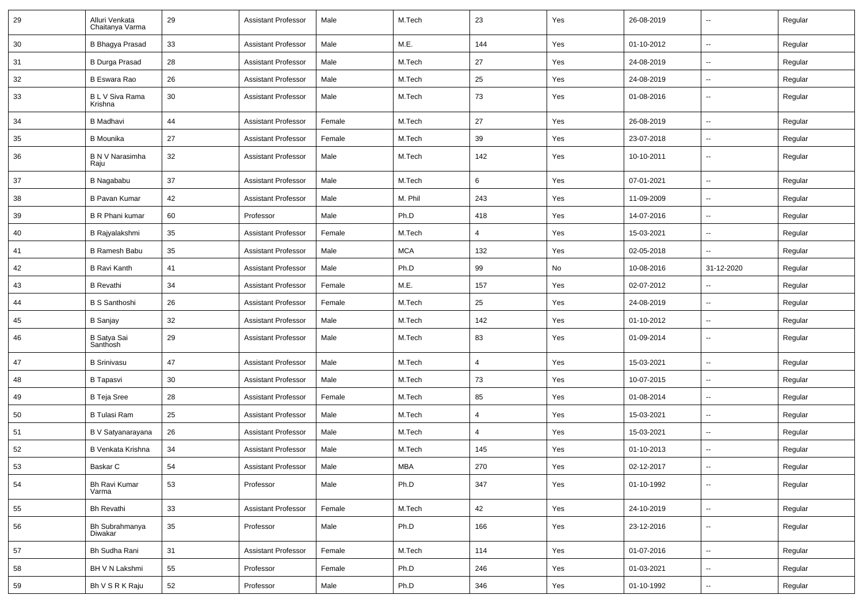| 29 | Alluri Venkata<br>Chaitanya Varma | 29 | <b>Assistant Professor</b> | Male   | M.Tech     | 23             | Yes | 26-08-2019 | $\overline{\phantom{a}}$ | Regular |
|----|-----------------------------------|----|----------------------------|--------|------------|----------------|-----|------------|--------------------------|---------|
| 30 | <b>B Bhagya Prasad</b>            | 33 | <b>Assistant Professor</b> | Male   | M.E.       | 144            | Yes | 01-10-2012 | $\overline{\phantom{a}}$ | Regular |
| 31 | <b>B Durga Prasad</b>             | 28 | <b>Assistant Professor</b> | Male   | M.Tech     | 27             | Yes | 24-08-2019 | --                       | Regular |
| 32 | B Eswara Rao                      | 26 | <b>Assistant Professor</b> | Male   | M.Tech     | 25             | Yes | 24-08-2019 | ⊷.                       | Regular |
| 33 | B L V Siva Rama<br>Krishna        | 30 | <b>Assistant Professor</b> | Male   | M.Tech     | 73             | Yes | 01-08-2016 | $\overline{\phantom{a}}$ | Regular |
| 34 | <b>B</b> Madhavi                  | 44 | <b>Assistant Professor</b> | Female | M.Tech     | 27             | Yes | 26-08-2019 | $\overline{\phantom{a}}$ | Regular |
| 35 | <b>B</b> Mounika                  | 27 | <b>Assistant Professor</b> | Female | M.Tech     | 39             | Yes | 23-07-2018 | --                       | Regular |
| 36 | B N V Narasimha<br>Raju           | 32 | <b>Assistant Professor</b> | Male   | M.Tech     | 142            | Yes | 10-10-2011 | $\sim$                   | Regular |
| 37 | B Nagababu                        | 37 | <b>Assistant Professor</b> | Male   | M.Tech     | 6              | Yes | 07-01-2021 | $\overline{\phantom{a}}$ | Regular |
| 38 | <b>B Pavan Kumar</b>              | 42 | <b>Assistant Professor</b> | Male   | M. Phil    | 243            | Yes | 11-09-2009 | $\overline{\phantom{a}}$ | Regular |
| 39 | <b>B R Phani kumar</b>            | 60 | Professor                  | Male   | Ph.D       | 418            | Yes | 14-07-2016 | --                       | Regular |
| 40 | B Rajyalakshmi                    | 35 | <b>Assistant Professor</b> | Female | M.Tech     | 4              | Yes | 15-03-2021 | ⊷.                       | Regular |
| 41 | B Ramesh Babu                     | 35 | <b>Assistant Professor</b> | Male   | <b>MCA</b> | 132            | Yes | 02-05-2018 | $\overline{\phantom{a}}$ | Regular |
| 42 | <b>B Ravi Kanth</b>               | 41 | <b>Assistant Professor</b> | Male   | Ph.D       | 99             | No  | 10-08-2016 | 31-12-2020               | Regular |
| 43 | <b>B</b> Revathi                  | 34 | <b>Assistant Professor</b> | Female | M.E.       | 157            | Yes | 02-07-2012 | $\overline{\phantom{a}}$ | Regular |
| 44 | <b>B S Santhoshi</b>              | 26 | <b>Assistant Professor</b> | Female | M.Tech     | 25             | Yes | 24-08-2019 | $\overline{\phantom{a}}$ | Regular |
| 45 | <b>B</b> Sanjay                   | 32 | <b>Assistant Professor</b> | Male   | M.Tech     | 142            | Yes | 01-10-2012 | --                       | Regular |
| 46 | B Satya Sai<br>Santhosh           | 29 | <b>Assistant Professor</b> | Male   | M.Tech     | 83             | Yes | 01-09-2014 | $\overline{\phantom{a}}$ | Regular |
| 47 | <b>B</b> Srinivasu                | 47 | <b>Assistant Professor</b> | Male   | M.Tech     | 4              | Yes | 15-03-2021 | Ξ.                       | Regular |
| 48 | <b>B</b> Tapasvi                  | 30 | <b>Assistant Professor</b> | Male   | M.Tech     | 73             | Yes | 10-07-2015 | --                       | Regular |
| 49 | <b>B</b> Teja Sree                | 28 | <b>Assistant Professor</b> | Female | M.Tech     | 85             | Yes | 01-08-2014 | --                       | Regular |
| 50 | <b>B Tulasi Ram</b>               | 25 | <b>Assistant Professor</b> | Male   | M.Tech     | 4              | Yes | 15-03-2021 | $\mathbf{u}$             | Regular |
| 51 | B V Satyanarayana                 | 26 | <b>Assistant Professor</b> | Male   | M.Tech     | $\overline{4}$ | Yes | 15-03-2021 | ⊶.                       | Regular |
| 52 | B Venkata Krishna                 | 34 | <b>Assistant Professor</b> | Male   | M.Tech     | 145            | Yes | 01-10-2013 | -−                       | Regular |
| 53 | Baskar C                          | 54 | <b>Assistant Professor</b> | Male   | MBA        | 270            | Yes | 02-12-2017 | ⊷.                       | Regular |
| 54 | Bh Ravi Kumar<br>Varma            | 53 | Professor                  | Male   | Ph.D       | 347            | Yes | 01-10-1992 | $\overline{\phantom{a}}$ | Regular |
| 55 | <b>Bh Revathi</b>                 | 33 | <b>Assistant Professor</b> | Female | M.Tech     | 42             | Yes | 24-10-2019 | ⊶.                       | Regular |
| 56 | Bh Subrahmanya<br>Diwakar         | 35 | Professor                  | Male   | Ph.D       | 166            | Yes | 23-12-2016 | $\overline{\phantom{a}}$ | Regular |
| 57 | Bh Sudha Rani                     | 31 | <b>Assistant Professor</b> | Female | M.Tech     | 114            | Yes | 01-07-2016 | Щ,                       | Regular |
| 58 | BH V N Lakshmi                    | 55 | Professor                  | Female | Ph.D       | 246            | Yes | 01-03-2021 | Ξ.                       | Regular |
| 59 | Bh V S R K Raju                   | 52 | Professor                  | Male   | Ph.D       | 346            | Yes | 01-10-1992 | н,                       | Regular |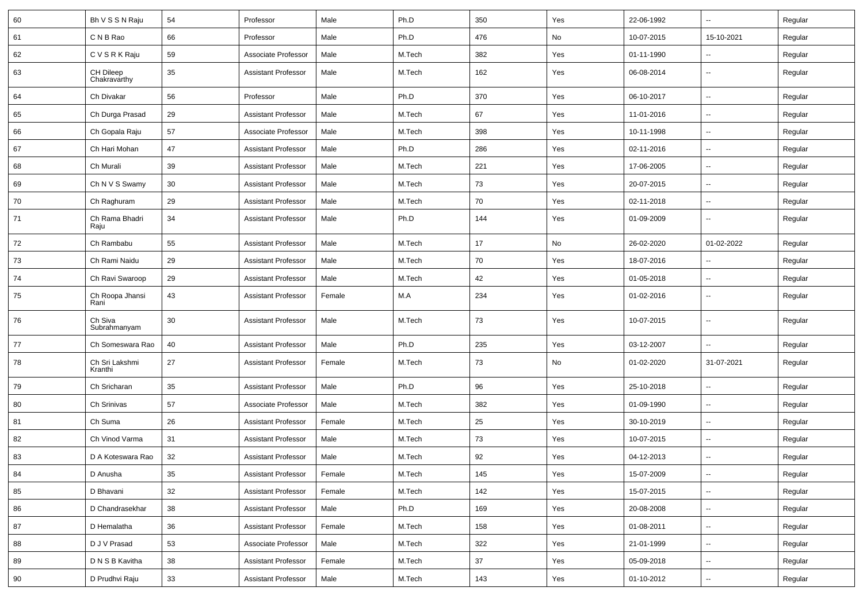| 60 | Bh V S S N Raju           | 54 | Professor                  | Male   | Ph.D   | 350    | Yes | 22-06-1992 | $\overline{\phantom{a}}$ | Regular |
|----|---------------------------|----|----------------------------|--------|--------|--------|-----|------------|--------------------------|---------|
| 61 | C N B Rao                 | 66 | Professor                  | Male   | Ph.D   | 476    | No  | 10-07-2015 | 15-10-2021               | Regular |
| 62 | CVSRKRaju                 | 59 | Associate Professor        | Male   | M.Tech | 382    | Yes | 01-11-1990 | --                       | Regular |
| 63 | CH Dileep<br>Chakravarthy | 35 | <b>Assistant Professor</b> | Male   | M.Tech | 162    | Yes | 06-08-2014 | $\overline{\phantom{a}}$ | Regular |
| 64 | Ch Divakar                | 56 | Professor                  | Male   | Ph.D   | 370    | Yes | 06-10-2017 | $\overline{a}$           | Regular |
| 65 | Ch Durga Prasad           | 29 | <b>Assistant Professor</b> | Male   | M.Tech | 67     | Yes | 11-01-2016 | --                       | Regular |
| 66 | Ch Gopala Raju            | 57 | Associate Professor        | Male   | M.Tech | 398    | Yes | 10-11-1998 | ⊷.                       | Regular |
| 67 | Ch Hari Mohan             | 47 | <b>Assistant Professor</b> | Male   | Ph.D   | 286    | Yes | 02-11-2016 | ⊶.                       | Regular |
| 68 | Ch Murali                 | 39 | <b>Assistant Professor</b> | Male   | M.Tech | 221    | Yes | 17-06-2005 | --                       | Regular |
| 69 | Ch N V S Swamy            | 30 | <b>Assistant Professor</b> | Male   | M.Tech | 73     | Yes | 20-07-2015 | --                       | Regular |
| 70 | Ch Raghuram               | 29 | <b>Assistant Professor</b> | Male   | M.Tech | 70     | Yes | 02-11-2018 | --                       | Regular |
| 71 | Ch Rama Bhadri<br>Raju    | 34 | <b>Assistant Professor</b> | Male   | Ph.D   | 144    | Yes | 01-09-2009 | $\overline{a}$           | Regular |
| 72 | Ch Rambabu                | 55 | <b>Assistant Professor</b> | Male   | M.Tech | 17     | No  | 26-02-2020 | 01-02-2022               | Regular |
| 73 | Ch Rami Naidu             | 29 | <b>Assistant Professor</b> | Male   | M.Tech | 70     | Yes | 18-07-2016 | $\overline{\phantom{a}}$ | Regular |
| 74 | Ch Ravi Swaroop           | 29 | <b>Assistant Professor</b> | Male   | M.Tech | 42     | Yes | 01-05-2018 | ⊷.                       | Regular |
| 75 | Ch Roopa Jhansi<br>Rani   | 43 | <b>Assistant Professor</b> | Female | M.A    | 234    | Yes | 01-02-2016 | --                       | Regular |
| 76 | Ch Siva<br>Subrahmanyam   | 30 | <b>Assistant Professor</b> | Male   | M.Tech | 73     | Yes | 10-07-2015 | --                       | Regular |
| 77 | Ch Someswara Rao          | 40 | <b>Assistant Professor</b> | Male   | Ph.D   | 235    | Yes | 03-12-2007 | -−                       | Regular |
| 78 | Ch Sri Lakshmi<br>Kranthi | 27 | <b>Assistant Professor</b> | Female | M.Tech | 73     | No  | 01-02-2020 | 31-07-2021               | Regular |
| 79 | Ch Sricharan              | 35 | <b>Assistant Professor</b> | Male   | Ph.D   | 96     | Yes | 25-10-2018 | $\overline{\phantom{a}}$ | Regular |
| 80 | Ch Srinivas               | 57 | Associate Professor        | Male   | M.Tech | 382    | Yes | 01-09-1990 | --                       | Regular |
| 81 | Ch Suma                   | 26 | <b>Assistant Professor</b> | Female | M.Tech | 25     | Yes | 30-10-2019 | --                       | Regular |
| 82 | Ch Vinod Varma            | 31 | <b>Assistant Professor</b> | Male   | M.Tech | 73     | Yes | 10-07-2015 | $\overline{\phantom{a}}$ | Regular |
| 83 | D A Koteswara Rao         | 32 | <b>Assistant Professor</b> | Male   | M.Tech | 92     | Yes | 04-12-2013 | ⊶.                       | Regular |
| 84 | D Anusha                  | 35 | <b>Assistant Professor</b> | Female | M.Tech | 145    | Yes | 15-07-2009 | $\overline{\phantom{a}}$ | Regular |
| 85 | D Bhavani                 | 32 | <b>Assistant Professor</b> | Female | M.Tech | 142    | Yes | 15-07-2015 | $\overline{\phantom{a}}$ | Regular |
| 86 | D Chandrasekhar           | 38 | <b>Assistant Professor</b> | Male   | Ph.D   | 169    | Yes | 20-08-2008 | $\overline{\phantom{a}}$ | Regular |
| 87 | D Hemalatha               | 36 | <b>Assistant Professor</b> | Female | M.Tech | 158    | Yes | 01-08-2011 | $\overline{\phantom{a}}$ | Regular |
| 88 | D J V Prasad              | 53 | Associate Professor        | Male   | M.Tech | 322    | Yes | 21-01-1999 | $\overline{\phantom{a}}$ | Regular |
| 89 | D N S B Kavitha           | 38 | <b>Assistant Professor</b> | Female | M.Tech | $37\,$ | Yes | 05-09-2018 | н,                       | Regular |
| 90 | D Prudhvi Raju            | 33 | <b>Assistant Professor</b> | Male   | M.Tech | 143    | Yes | 01-10-2012 | н,                       | Regular |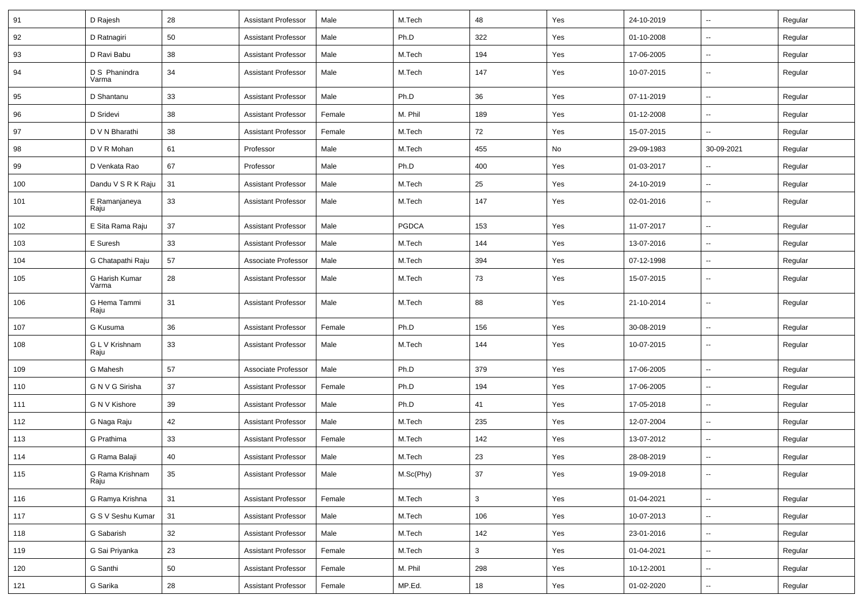| 91  | D Rajesh                | 28 | <b>Assistant Professor</b> | Male   | M.Tech       | 48  | Yes | 24-10-2019 | $\sim$                   | Regular |
|-----|-------------------------|----|----------------------------|--------|--------------|-----|-----|------------|--------------------------|---------|
| 92  | D Ratnagiri             | 50 | <b>Assistant Professor</b> | Male   | Ph.D         | 322 | Yes | 01-10-2008 | $\sim$                   | Regular |
| 93  | D Ravi Babu             | 38 | <b>Assistant Professor</b> | Male   | M.Tech       | 194 | Yes | 17-06-2005 | $\sim$                   | Regular |
| 94  | D S Phanindra<br>Varma  | 34 | <b>Assistant Professor</b> | Male   | M.Tech       | 147 | Yes | 10-07-2015 | $\sim$                   | Regular |
| 95  | D Shantanu              | 33 | <b>Assistant Professor</b> | Male   | Ph.D         | 36  | Yes | 07-11-2019 | $\sim$                   | Regular |
| 96  | D Sridevi               | 38 | <b>Assistant Professor</b> | Female | M. Phil      | 189 | Yes | 01-12-2008 | $\overline{\phantom{a}}$ | Regular |
| 97  | D V N Bharathi          | 38 | <b>Assistant Professor</b> | Female | M.Tech       | 72  | Yes | 15-07-2015 | $\sim$                   | Regular |
| 98  | D V R Mohan             | 61 | Professor                  | Male   | M.Tech       | 455 | No  | 29-09-1983 | 30-09-2021               | Regular |
| 99  | D Venkata Rao           | 67 | Professor                  | Male   | Ph.D         | 400 | Yes | 01-03-2017 | $\overline{\phantom{a}}$ | Regular |
| 100 | Dandu V S R K Raju      | 31 | <b>Assistant Professor</b> | Male   | M.Tech       | 25  | Yes | 24-10-2019 | $\sim$                   | Regular |
| 101 | E Ramanjaneya<br>Raju   | 33 | <b>Assistant Professor</b> | Male   | M.Tech       | 147 | Yes | 02-01-2016 | $\overline{\phantom{a}}$ | Regular |
| 102 | E Sita Rama Raju        | 37 | <b>Assistant Professor</b> | Male   | <b>PGDCA</b> | 153 | Yes | 11-07-2017 | $\sim$                   | Regular |
| 103 | E Suresh                | 33 | <b>Assistant Professor</b> | Male   | M.Tech       | 144 | Yes | 13-07-2016 | $\overline{\phantom{a}}$ | Regular |
| 104 | G Chatapathi Raju       | 57 | Associate Professor        | Male   | M.Tech       | 394 | Yes | 07-12-1998 | $\overline{\phantom{a}}$ | Regular |
| 105 | G Harish Kumar<br>Varma | 28 | <b>Assistant Professor</b> | Male   | M.Tech       | 73  | Yes | 15-07-2015 | $\sim$                   | Regular |
| 106 | G Hema Tammi<br>Raju    | 31 | <b>Assistant Professor</b> | Male   | M.Tech       | 88  | Yes | 21-10-2014 | $\sim$                   | Regular |
| 107 | G Kusuma                | 36 | <b>Assistant Professor</b> | Female | Ph.D         | 156 | Yes | 30-08-2019 | $\sim$                   | Regular |
| 108 | G L V Krishnam<br>Raju  | 33 | <b>Assistant Professor</b> | Male   | M.Tech       | 144 | Yes | 10-07-2015 | $\sim$                   | Regular |
| 109 | G Mahesh                | 57 | Associate Professor        | Male   | Ph.D         | 379 | Yes | 17-06-2005 | $\sim$                   | Regular |
| 110 | G N V G Sirisha         | 37 | <b>Assistant Professor</b> | Female | Ph.D         | 194 | Yes | 17-06-2005 | $\overline{\phantom{a}}$ | Regular |
| 111 | G N V Kishore           | 39 | <b>Assistant Professor</b> | Male   | Ph.D         | 41  | Yes | 17-05-2018 | $\overline{\phantom{a}}$ | Regular |
| 112 | G Naga Raju             | 42 | <b>Assistant Professor</b> | Male   | M.Tech       | 235 | Yes | 12-07-2004 | $\sim$                   | Regular |
| 113 | G Prathima              | 33 | <b>Assistant Professor</b> | Female | M.Tech       | 142 | Yes | 13-07-2012 | $\sim$                   | Regular |
| 114 | G Rama Balaji           | 40 | <b>Assistant Professor</b> | Male   | M.Tech       | 23  | Yes | 28-08-2019 | $\sim$                   | Regular |
| 115 | G Rama Krishnam<br>Raju | 35 | Assistant Professor        | Male   | M.Sc(Phy)    | 37  | Yes | 19-09-2018 | $\overline{\phantom{a}}$ | Regular |
| 116 | G Ramya Krishna         | 31 | <b>Assistant Professor</b> | Female | M.Tech       | 3   | Yes | 01-04-2021 | $\sim$                   | Regular |
| 117 | G S V Seshu Kumar       | 31 | <b>Assistant Professor</b> | Male   | M.Tech       | 106 | Yes | 10-07-2013 | $\overline{\phantom{a}}$ | Regular |
| 118 | G Sabarish              | 32 | Assistant Professor        | Male   | M.Tech       | 142 | Yes | 23-01-2016 | $\sim$                   | Regular |
| 119 | G Sai Priyanka          | 23 | <b>Assistant Professor</b> | Female | M.Tech       | 3   | Yes | 01-04-2021 | $\sim$                   | Regular |
| 120 | G Santhi                | 50 | <b>Assistant Professor</b> | Female | M. Phil      | 298 | Yes | 10-12-2001 | $\sim$                   | Regular |
| 121 | G Sarika                | 28 | <b>Assistant Professor</b> | Female | MP.Ed.       | 18  | Yes | 01-02-2020 | $\sim$                   | Regular |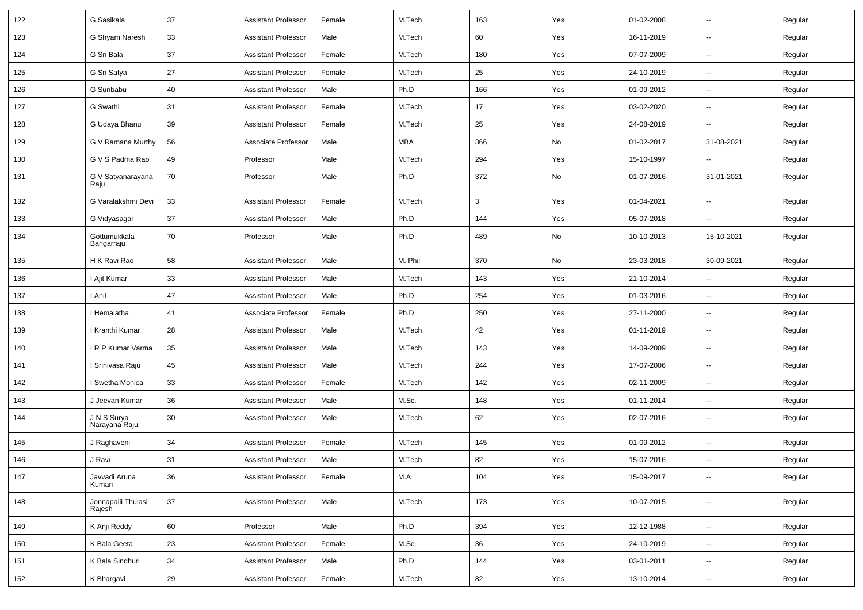| 122 | G Sasikala                   | 37     | <b>Assistant Professor</b> | Female | M.Tech     | 163 | Yes | 01-02-2008 | $\overline{\phantom{a}}$ | Regular |
|-----|------------------------------|--------|----------------------------|--------|------------|-----|-----|------------|--------------------------|---------|
| 123 | G Shyam Naresh               | 33     | <b>Assistant Professor</b> | Male   | M.Tech     | 60  | Yes | 16-11-2019 | -−                       | Regular |
| 124 | G Sri Bala                   | 37     | <b>Assistant Professor</b> | Female | M.Tech     | 180 | Yes | 07-07-2009 | -−                       | Regular |
| 125 | G Sri Satya                  | 27     | <b>Assistant Professor</b> | Female | M.Tech     | 25  | Yes | 24-10-2019 | $\overline{a}$           | Regular |
| 126 | G Suribabu                   | 40     | <b>Assistant Professor</b> | Male   | Ph.D       | 166 | Yes | 01-09-2012 | -−                       | Regular |
| 127 | G Swathi                     | 31     | <b>Assistant Professor</b> | Female | M.Tech     | 17  | Yes | 03-02-2020 | Ξ.                       | Regular |
| 128 | G Udaya Bhanu                | 39     | <b>Assistant Professor</b> | Female | M.Tech     | 25  | Yes | 24-08-2019 | Ξ.                       | Regular |
| 129 | G V Ramana Murthy            | 56     | Associate Professor        | Male   | <b>MBA</b> | 366 | No  | 01-02-2017 | 31-08-2021               | Regular |
| 130 | G V S Padma Rao              | 49     | Professor                  | Male   | M.Tech     | 294 | Yes | 15-10-1997 | $\overline{\phantom{a}}$ | Regular |
| 131 | G V Satyanarayana<br>Raju    | 70     | Professor                  | Male   | Ph.D       | 372 | No  | 01-07-2016 | 31-01-2021               | Regular |
| 132 | G Varalakshmi Devi           | 33     | <b>Assistant Professor</b> | Female | M.Tech     | 3   | Yes | 01-04-2021 | --                       | Regular |
| 133 | G Vidyasagar                 | 37     | <b>Assistant Professor</b> | Male   | Ph.D       | 144 | Yes | 05-07-2018 |                          | Regular |
| 134 | Gottumukkala<br>Bangarraju   | 70     | Professor                  | Male   | Ph.D       | 489 | No  | 10-10-2013 | 15-10-2021               | Regular |
| 135 | H K Ravi Rao                 | 58     | <b>Assistant Professor</b> | Male   | M. Phil    | 370 | No  | 23-03-2018 | 30-09-2021               | Regular |
| 136 | I Ajit Kumar                 | 33     | <b>Assistant Professor</b> | Male   | M.Tech     | 143 | Yes | 21-10-2014 | $\overline{a}$           | Regular |
| 137 | I Anil                       | 47     | <b>Assistant Professor</b> | Male   | Ph.D       | 254 | Yes | 01-03-2016 | --                       | Regular |
| 138 | I Hemalatha                  | 41     | Associate Professor        | Female | Ph.D       | 250 | Yes | 27-11-2000 | $\sim$                   | Regular |
| 139 | I Kranthi Kumar              | 28     | <b>Assistant Professor</b> | Male   | M.Tech     | 42  | Yes | 01-11-2019 | $\overline{\phantom{a}}$ | Regular |
| 140 | IRP Kumar Varma              | 35     | <b>Assistant Professor</b> | Male   | M.Tech     | 143 | Yes | 14-09-2009 | --                       | Regular |
| 141 | I Srinivasa Raju             | 45     | <b>Assistant Professor</b> | Male   | M.Tech     | 244 | Yes | 17-07-2006 | $\overline{\phantom{a}}$ | Regular |
| 142 | I Swetha Monica              | 33     | <b>Assistant Professor</b> | Female | M.Tech     | 142 | Yes | 02-11-2009 | $\overline{\phantom{a}}$ | Regular |
| 143 | J Jeevan Kumar               | 36     | <b>Assistant Professor</b> | Male   | M.Sc.      | 148 | Yes | 01-11-2014 | -−                       | Regular |
| 144 | J N S Surya<br>Narayana Raju | 30     | <b>Assistant Professor</b> | Male   | M.Tech     | 62  | Yes | 02-07-2016 | --                       | Regular |
| 145 | J Raghaveni                  | 34     | <b>Assistant Professor</b> | Female | M.Tech     | 145 | Yes | 01-09-2012 | $\overline{\phantom{a}}$ | Regular |
| 146 | J Ravi                       | 31     | <b>Assistant Professor</b> | Male   | M.Tech     | 82  | Yes | 15-07-2016 |                          | Regular |
| 147 | Javvadi Aruna<br>Kumari      | 36     | Assistant Professor        | Female | M.A        | 104 | Yes | 15-09-2017 | $\overline{\phantom{a}}$ | Regular |
| 148 | Jonnapalli Thulasi<br>Rajesh | $37\,$ | <b>Assistant Professor</b> | Male   | M.Tech     | 173 | Yes | 10-07-2015 | ц.                       | Regular |
| 149 | K Anji Reddy                 | 60     | Professor                  | Male   | Ph.D       | 394 | Yes | 12-12-1988 | ш.                       | Regular |
| 150 | K Bala Geeta                 | 23     | <b>Assistant Professor</b> | Female | M.Sc.      | 36  | Yes | 24-10-2019 | $\overline{\phantom{a}}$ | Regular |
| 151 | K Bala Sindhuri              | 34     | <b>Assistant Professor</b> | Male   | Ph.D       | 144 | Yes | 03-01-2011 | $\overline{\phantom{a}}$ | Regular |
| 152 | K Bhargavi                   | 29     | <b>Assistant Professor</b> | Female | M.Tech     | 82  | Yes | 13-10-2014 | −−                       | Regular |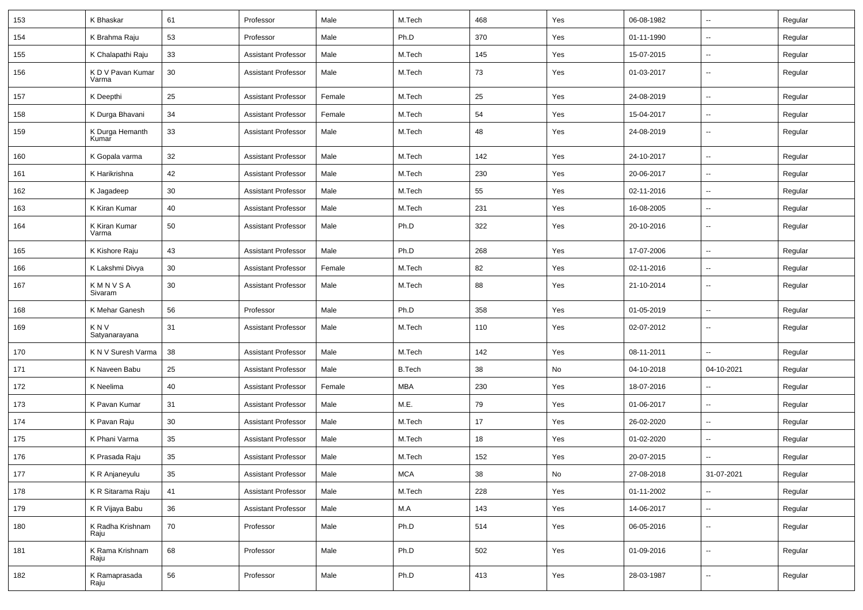| 153 | K Bhaskar                  | 61 | Professor                  | Male   | M.Tech        | 468 | Yes | 06-08-1982 | $\overline{\phantom{a}}$ | Regular |
|-----|----------------------------|----|----------------------------|--------|---------------|-----|-----|------------|--------------------------|---------|
| 154 | K Brahma Raju              | 53 | Professor                  | Male   | Ph.D          | 370 | Yes | 01-11-1990 | --                       | Regular |
| 155 | K Chalapathi Raju          | 33 | <b>Assistant Professor</b> | Male   | M.Tech        | 145 | Yes | 15-07-2015 | $\overline{\phantom{a}}$ | Regular |
| 156 | K D V Pavan Kumar<br>Varma | 30 | <b>Assistant Professor</b> | Male   | M.Tech        | 73  | Yes | 01-03-2017 | $\overline{\phantom{a}}$ | Regular |
| 157 | K Deepthi                  | 25 | <b>Assistant Professor</b> | Female | M.Tech        | 25  | Yes | 24-08-2019 | $\overline{\phantom{a}}$ | Regular |
| 158 | K Durga Bhavani            | 34 | <b>Assistant Professor</b> | Female | M.Tech        | 54  | Yes | 15-04-2017 | $\overline{\phantom{a}}$ | Regular |
| 159 | K Durga Hemanth<br>Kumar   | 33 | Assistant Professor        | Male   | M.Tech        | 48  | Yes | 24-08-2019 | $\sim$                   | Regular |
| 160 | K Gopala varma             | 32 | <b>Assistant Professor</b> | Male   | M.Tech        | 142 | Yes | 24-10-2017 | $\overline{\phantom{a}}$ | Regular |
| 161 | K Harikrishna              | 42 | <b>Assistant Professor</b> | Male   | M.Tech        | 230 | Yes | 20-06-2017 | $\sim$                   | Regular |
| 162 | K Jagadeep                 | 30 | <b>Assistant Professor</b> | Male   | M.Tech        | 55  | Yes | 02-11-2016 | $\overline{\phantom{a}}$ | Regular |
| 163 | K Kiran Kumar              | 40 | Assistant Professor        | Male   | M.Tech        | 231 | Yes | 16-08-2005 | --                       | Regular |
| 164 | K Kiran Kumar<br>Varma     | 50 | <b>Assistant Professor</b> | Male   | Ph.D          | 322 | Yes | 20-10-2016 | $\overline{\phantom{a}}$ | Regular |
| 165 | K Kishore Raju             | 43 | <b>Assistant Professor</b> | Male   | Ph.D          | 268 | Yes | 17-07-2006 | $\overline{\phantom{a}}$ | Regular |
| 166 | K Lakshmi Divya            | 30 | <b>Assistant Professor</b> | Female | M.Tech        | 82  | Yes | 02-11-2016 | $\overline{\phantom{a}}$ | Regular |
| 167 | KMNVSA<br>Sivaram          | 30 | <b>Assistant Professor</b> | Male   | M.Tech        | 88  | Yes | 21-10-2014 | $\overline{\phantom{a}}$ | Regular |
| 168 | K Mehar Ganesh             | 56 | Professor                  | Male   | Ph.D          | 358 | Yes | 01-05-2019 | ÷.                       | Regular |
| 169 | K N V<br>Satyanarayana     | 31 | <b>Assistant Professor</b> | Male   | M.Tech        | 110 | Yes | 02-07-2012 | $\sim$                   | Regular |
| 170 | K N V Suresh Varma         | 38 | <b>Assistant Professor</b> | Male   | M.Tech        | 142 | Yes | 08-11-2011 | $\sim$                   | Regular |
| 171 | K Naveen Babu              | 25 | <b>Assistant Professor</b> | Male   | <b>B.Tech</b> | 38  | No  | 04-10-2018 | 04-10-2021               | Regular |
| 172 | K Neelima                  | 40 | <b>Assistant Professor</b> | Female | <b>MBA</b>    | 230 | Yes | 18-07-2016 | $\overline{\phantom{a}}$ | Regular |
| 173 | K Pavan Kumar              | 31 | <b>Assistant Professor</b> | Male   | M.E.          | 79  | Yes | 01-06-2017 | $\overline{\phantom{a}}$ | Regular |
| 174 | K Pavan Raju               | 30 | <b>Assistant Professor</b> | Male   | M.Tech        | 17  | Yes | 26-02-2020 |                          | Regular |
| 175 | K Phani Varma              | 35 | <b>Assistant Professor</b> | Male   | M.Tech        | 18  | Yes | 01-02-2020 | $\overline{a}$           | Regular |
| 176 | K Prasada Raju             | 35 | <b>Assistant Professor</b> | Male   | M.Tech        | 152 | Yes | 20-07-2015 | $\sim$                   | Regular |
| 177 | K R Anjaneyulu             | 35 | Assistant Professor        | Male   | MCA           | 38  | No  | 27-08-2018 | 31-07-2021               | Regular |
| 178 | K R Sitarama Raju          | 41 | <b>Assistant Professor</b> | Male   | M.Tech        | 228 | Yes | 01-11-2002 | $\sim$                   | Regular |
| 179 | K R Vijaya Babu            | 36 | <b>Assistant Professor</b> | Male   | M.A           | 143 | Yes | 14-06-2017 | н.                       | Regular |
| 180 | K Radha Krishnam<br>Raju   | 70 | Professor                  | Male   | Ph.D          | 514 | Yes | 06-05-2016 | $\sim$                   | Regular |
| 181 | K Rama Krishnam<br>Raju    | 68 | Professor                  | Male   | Ph.D          | 502 | Yes | 01-09-2016 | ш.                       | Regular |
| 182 | K Ramaprasada<br>Raju      | 56 | Professor                  | Male   | Ph.D          | 413 | Yes | 28-03-1987 | $\overline{\phantom{a}}$ | Regular |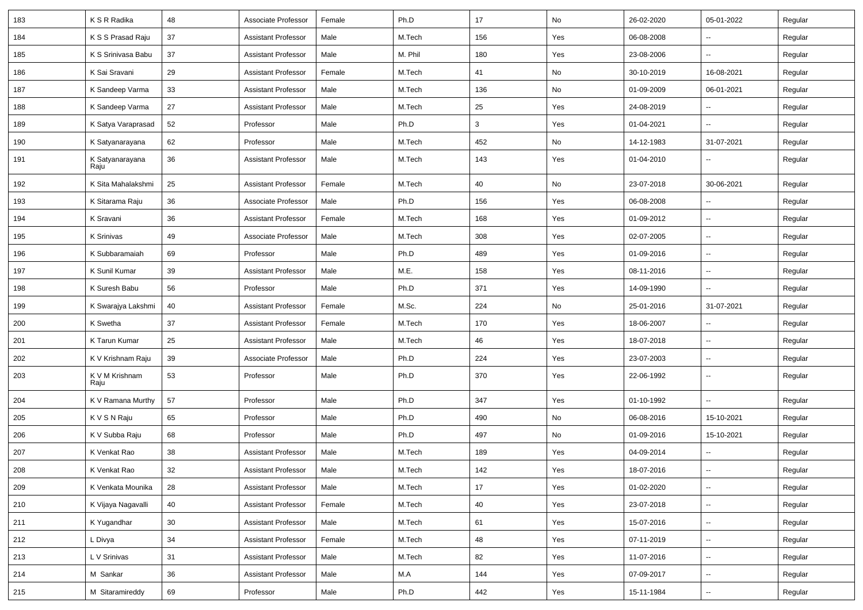| 183 | K S R Radika            | 48 | Associate Professor        | Female | Ph.D    | 17  | No  | 26-02-2020 | 05-01-2022               | Regular |
|-----|-------------------------|----|----------------------------|--------|---------|-----|-----|------------|--------------------------|---------|
| 184 | K S S Prasad Raju       | 37 | Assistant Professor        | Male   | M.Tech  | 156 | Yes | 06-08-2008 | $\sim$                   | Regular |
| 185 | K S Srinivasa Babu      | 37 | <b>Assistant Professor</b> | Male   | M. Phil | 180 | Yes | 23-08-2006 |                          | Regular |
| 186 | K Sai Sravani           | 29 | <b>Assistant Professor</b> | Female | M.Tech  | 41  | No  | 30-10-2019 | 16-08-2021               | Regular |
| 187 | K Sandeep Varma         | 33 | <b>Assistant Professor</b> | Male   | M.Tech  | 136 | No  | 01-09-2009 | 06-01-2021               | Regular |
| 188 | K Sandeep Varma         | 27 | <b>Assistant Professor</b> | Male   | M.Tech  | 25  | Yes | 24-08-2019 |                          | Regular |
| 189 | K Satya Varaprasad      | 52 | Professor                  | Male   | Ph.D    | 3   | Yes | 01-04-2021 | $\sim$                   | Regular |
| 190 | K Satyanarayana         | 62 | Professor                  | Male   | M.Tech  | 452 | No  | 14-12-1983 | 31-07-2021               | Regular |
| 191 | K Satyanarayana<br>Raju | 36 | <b>Assistant Professor</b> | Male   | M.Tech  | 143 | Yes | 01-04-2010 | ⊷.                       | Regular |
| 192 | K Sita Mahalakshmi      | 25 | <b>Assistant Professor</b> | Female | M.Tech  | 40  | No  | 23-07-2018 | 30-06-2021               | Regular |
| 193 | K Sitarama Raju         | 36 | Associate Professor        | Male   | Ph.D    | 156 | Yes | 06-08-2008 |                          | Regular |
| 194 | K Sravani               | 36 | <b>Assistant Professor</b> | Female | M.Tech  | 168 | Yes | 01-09-2012 | $\overline{\phantom{a}}$ | Regular |
| 195 | K Srinivas              | 49 | Associate Professor        | Male   | M.Tech  | 308 | Yes | 02-07-2005 | $\overline{\phantom{a}}$ | Regular |
| 196 | K Subbaramaiah          | 69 | Professor                  | Male   | Ph.D    | 489 | Yes | 01-09-2016 | $\sim$                   | Regular |
| 197 | K Sunil Kumar           | 39 | <b>Assistant Professor</b> | Male   | M.E.    | 158 | Yes | 08-11-2016 | $\sim$                   | Regular |
| 198 | K Suresh Babu           | 56 | Professor                  | Male   | Ph.D    | 371 | Yes | 14-09-1990 | $\sim$                   | Regular |
| 199 | K Swarajya Lakshmi      | 40 | <b>Assistant Professor</b> | Female | M.Sc.   | 224 | No  | 25-01-2016 | 31-07-2021               | Regular |
| 200 | K Swetha                | 37 | <b>Assistant Professor</b> | Female | M.Tech  | 170 | Yes | 18-06-2007 |                          | Regular |
| 201 | K Tarun Kumar           | 25 | <b>Assistant Professor</b> | Male   | M.Tech  | 46  | Yes | 18-07-2018 |                          | Regular |
| 202 | K V Krishnam Raju       | 39 | Associate Professor        | Male   | Ph.D    | 224 | Yes | 23-07-2003 | $\sim$                   | Regular |
| 203 | K V M Krishnam<br>Raju  | 53 | Professor                  | Male   | Ph.D    | 370 | Yes | 22-06-1992 | ⊷.                       | Regular |
| 204 | K V Ramana Murthy       | 57 | Professor                  | Male   | Ph.D    | 347 | Yes | 01-10-1992 | $\overline{\phantom{a}}$ | Regular |
| 205 | K V S N Raju            | 65 | Professor                  | Male   | Ph.D    | 490 | No  | 06-08-2016 | 15-10-2021               | Regular |
| 206 | K V Subba Raju          | 68 | Professor                  | Male   | Ph.D    | 497 | No  | 01-09-2016 | 15-10-2021               | Regular |
| 207 | K Venkat Rao            | 38 | Assistant Professor        | Male   | M.Tech  | 189 | Yes | 04-09-2014 | $\overline{\phantom{a}}$ | Regular |
| 208 | K Venkat Rao            | 32 | Assistant Professor        | Male   | M.Tech  | 142 | Yes | 18-07-2016 |                          | Regular |
| 209 | K Venkata Mounika       | 28 | Assistant Professor        | Male   | M.Tech  | 17  | Yes | 01-02-2020 | $\sim$                   | Regular |
| 210 | K Vijaya Nagavalli      | 40 | <b>Assistant Professor</b> | Female | M.Tech  | 40  | Yes | 23-07-2018 | $\sim$                   | Regular |
| 211 | K Yugandhar             | 30 | <b>Assistant Professor</b> | Male   | M.Tech  | 61  | Yes | 15-07-2016 | ⊷.                       | Regular |
| 212 | L Divya                 | 34 | <b>Assistant Professor</b> | Female | M.Tech  | 48  | Yes | 07-11-2019 | ⊷.                       | Regular |
| 213 | L V Srinivas            | 31 | <b>Assistant Professor</b> | Male   | M.Tech  | 82  | Yes | 11-07-2016 | $\sim$                   | Regular |
| 214 | M Sankar                | 36 | <b>Assistant Professor</b> | Male   | M.A     | 144 | Yes | 07-09-2017 | $\sim$                   | Regular |
| 215 | M Sitaramireddy         | 69 | Professor                  | Male   | Ph.D    | 442 | Yes | 15-11-1984 | $\sim$                   | Regular |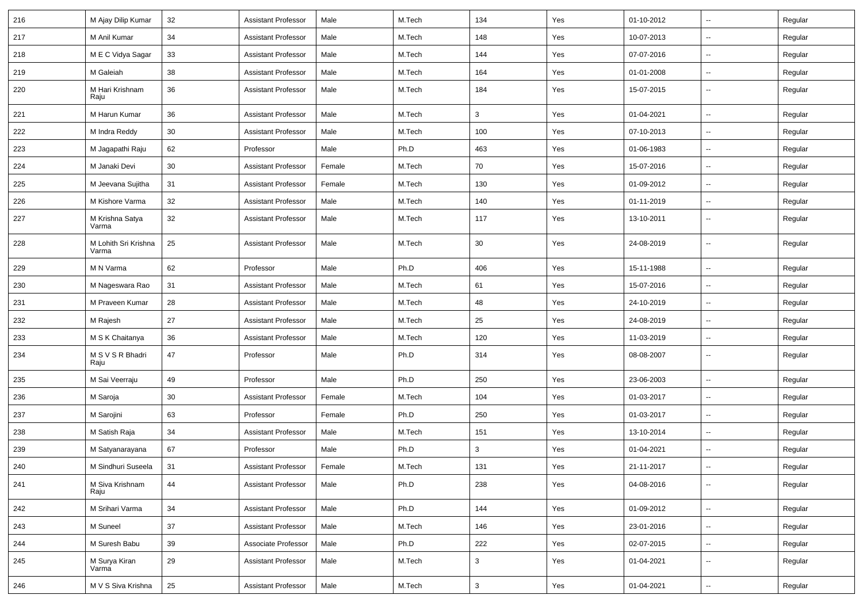| 216 | M Ajay Dilip Kumar            | 32     | <b>Assistant Professor</b> | Male   | M.Tech | 134                       | Yes | 01-10-2012 | $\overline{\phantom{a}}$ | Regular |
|-----|-------------------------------|--------|----------------------------|--------|--------|---------------------------|-----|------------|--------------------------|---------|
| 217 | M Anil Kumar                  | 34     | <b>Assistant Professor</b> | Male   | M.Tech | 148                       | Yes | 10-07-2013 | -−                       | Regular |
| 218 | M E C Vidya Sagar             | 33     | <b>Assistant Professor</b> | Male   | M.Tech | 144                       | Yes | 07-07-2016 | $\overline{\phantom{a}}$ | Regular |
| 219 | M Galeiah                     | 38     | <b>Assistant Professor</b> | Male   | M.Tech | 164                       | Yes | 01-01-2008 | $\overline{\phantom{a}}$ | Regular |
| 220 | M Hari Krishnam<br>Raju       | 36     | <b>Assistant Professor</b> | Male   | M.Tech | 184                       | Yes | 15-07-2015 | --                       | Regular |
| 221 | M Harun Kumar                 | 36     | <b>Assistant Professor</b> | Male   | M.Tech | 3                         | Yes | 01-04-2021 | ш,                       | Regular |
| 222 | M Indra Reddy                 | 30     | <b>Assistant Professor</b> | Male   | M.Tech | 100                       | Yes | 07-10-2013 | $\overline{\phantom{a}}$ | Regular |
| 223 | M Jagapathi Raju              | 62     | Professor                  | Male   | Ph.D   | 463                       | Yes | 01-06-1983 | $\sim$                   | Regular |
| 224 | M Janaki Devi                 | 30     | <b>Assistant Professor</b> | Female | M.Tech | 70                        | Yes | 15-07-2016 | -−                       | Regular |
| 225 | M Jeevana Sujitha             | 31     | <b>Assistant Professor</b> | Female | M.Tech | 130                       | Yes | 01-09-2012 | -−                       | Regular |
| 226 | M Kishore Varma               | 32     | <b>Assistant Professor</b> | Male   | M.Tech | 140                       | Yes | 01-11-2019 | --                       | Regular |
| 227 | M Krishna Satya<br>Varma      | 32     | <b>Assistant Professor</b> | Male   | M.Tech | 117                       | Yes | 13-10-2011 | -−                       | Regular |
| 228 | M Lohith Sri Krishna<br>Varma | 25     | <b>Assistant Professor</b> | Male   | M.Tech | 30                        | Yes | 24-08-2019 | -−                       | Regular |
| 229 | M N Varma                     | 62     | Professor                  | Male   | Ph.D   | 406                       | Yes | 15-11-1988 | --                       | Regular |
| 230 | M Nageswara Rao               | 31     | <b>Assistant Professor</b> | Male   | M.Tech | 61                        | Yes | 15-07-2016 | Ξ.                       | Regular |
| 231 | M Praveen Kumar               | 28     | <b>Assistant Professor</b> | Male   | M.Tech | 48                        | Yes | 24-10-2019 | Ξ.                       | Regular |
| 232 | M Rajesh                      | 27     | <b>Assistant Professor</b> | Male   | M.Tech | 25                        | Yes | 24-08-2019 | --                       | Regular |
| 233 | M S K Chaitanya               | 36     | <b>Assistant Professor</b> | Male   | M.Tech | 120                       | Yes | 11-03-2019 | -−                       | Regular |
| 234 | M S V S R Bhadri<br>Raju      | 47     | Professor                  | Male   | Ph.D   | 314                       | Yes | 08-08-2007 | $\overline{\phantom{a}}$ | Regular |
| 235 | M Sai Veerraju                | 49     | Professor                  | Male   | Ph.D   | 250                       | Yes | 23-06-2003 | --                       | Regular |
| 236 | M Saroja                      | 30     | <b>Assistant Professor</b> | Female | M.Tech | 104                       | Yes | 01-03-2017 | $\overline{\phantom{a}}$ | Regular |
| 237 | M Sarojini                    | 63     | Professor                  | Female | Ph.D   | 250                       | Yes | 01-03-2017 | $\sim$                   | Regular |
| 238 | M Satish Raja                 | 34     | <b>Assistant Professor</b> | Male   | M.Tech | 151                       | Yes | 13-10-2014 | $\sim$                   | Regular |
| 239 | M Satyanarayana               | 67     | Professor                  | Male   | Ph.D   | 3                         | Yes | 01-04-2021 | --                       | Regular |
| 240 | M Sindhuri Suseela            | 31     | <b>Assistant Professor</b> | Female | M.Tech | 131                       | Yes | 21-11-2017 | $\overline{\phantom{a}}$ | Regular |
| 241 | M Siva Krishnam<br>Raju       | 44     | <b>Assistant Professor</b> | Male   | Ph.D   | 238                       | Yes | 04-08-2016 | --                       | Regular |
| 242 | M Srihari Varma               | 34     | <b>Assistant Professor</b> | Male   | Ph.D   | 144                       | Yes | 01-09-2012 | Ξ.                       | Regular |
| 243 | M Suneel                      | $37\,$ | <b>Assistant Professor</b> | Male   | M.Tech | 146                       | Yes | 23-01-2016 | Щ,                       | Regular |
| 244 | M Suresh Babu                 | 39     | Associate Professor        | Male   | Ph.D   | 222                       | Yes | 02-07-2015 | Щ,                       | Regular |
| 245 | M Surya Kiran<br>Varma        | 29     | <b>Assistant Professor</b> | Male   | M.Tech | $\mathbf{3}$              | Yes | 01-04-2021 | $\sim$                   | Regular |
| 246 | M V S Siva Krishna            | 25     | <b>Assistant Professor</b> | Male   | M.Tech | $\ensuremath{\mathsf{3}}$ | Yes | 01-04-2021 | $\overline{\phantom{a}}$ | Regular |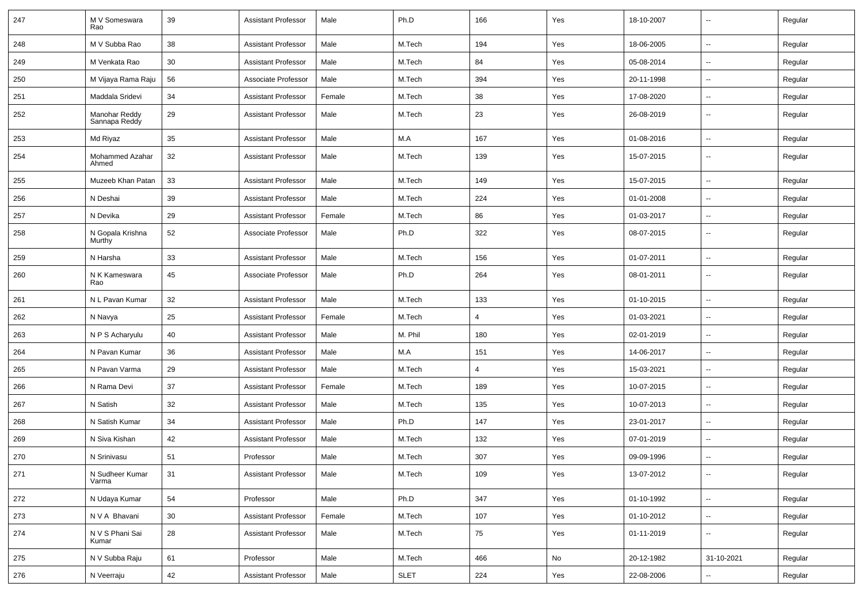| 247 | M V Someswara<br>Rao           | 39 | <b>Assistant Professor</b> | Male   | Ph.D        | 166            | Yes | 18-10-2007 |                          | Regular |
|-----|--------------------------------|----|----------------------------|--------|-------------|----------------|-----|------------|--------------------------|---------|
| 248 | M V Subba Rao                  | 38 | <b>Assistant Professor</b> | Male   | M.Tech      | 194            | Yes | 18-06-2005 | $\overline{\phantom{a}}$ | Regular |
| 249 | M Venkata Rao                  | 30 | <b>Assistant Professor</b> | Male   | M.Tech      | 84             | Yes | 05-08-2014 | -−                       | Regular |
| 250 | M Vijaya Rama Raju             | 56 | Associate Professor        | Male   | M.Tech      | 394            | Yes | 20-11-1998 | --                       | Regular |
| 251 | Maddala Sridevi                | 34 | <b>Assistant Professor</b> | Female | M.Tech      | 38             | Yes | 17-08-2020 | -−                       | Regular |
| 252 | Manohar Reddy<br>Sannapa Reddy | 29 | <b>Assistant Professor</b> | Male   | M.Tech      | 23             | Yes | 26-08-2019 | $\overline{\phantom{a}}$ | Regular |
| 253 | Md Riyaz                       | 35 | <b>Assistant Professor</b> | Male   | M.A         | 167            | Yes | 01-08-2016 | Ξ.                       | Regular |
| 254 | Mohammed Azahar<br>Ahmed       | 32 | <b>Assistant Professor</b> | Male   | M.Tech      | 139            | Yes | 15-07-2015 | н.                       | Regular |
| 255 | Muzeeb Khan Patan              | 33 | <b>Assistant Professor</b> | Male   | M.Tech      | 149            | Yes | 15-07-2015 | $\sim$                   | Regular |
| 256 | N Deshai                       | 39 | <b>Assistant Professor</b> | Male   | M.Tech      | 224            | Yes | 01-01-2008 | -−                       | Regular |
| 257 | N Devika                       | 29 | <b>Assistant Professor</b> | Female | M.Tech      | 86             | Yes | 01-03-2017 | -−                       | Regular |
| 258 | N Gopala Krishna<br>Murthy     | 52 | Associate Professor        | Male   | Ph.D        | 322            | Yes | 08-07-2015 | $\overline{\phantom{a}}$ | Regular |
| 259 | N Harsha                       | 33 | <b>Assistant Professor</b> | Male   | M.Tech      | 156            | Yes | 01-07-2011 | --                       | Regular |
| 260 | N K Kameswara<br>Rao           | 45 | Associate Professor        | Male   | Ph.D        | 264            | Yes | 08-01-2011 |                          | Regular |
| 261 | N L Pavan Kumar                | 32 | <b>Assistant Professor</b> | Male   | M.Tech      | 133            | Yes | 01-10-2015 | -−                       | Regular |
| 262 | N Navya                        | 25 | <b>Assistant Professor</b> | Female | M.Tech      | $\overline{4}$ | Yes | 01-03-2021 | $\overline{\phantom{a}}$ | Regular |
| 263 | N P S Acharyulu                | 40 | <b>Assistant Professor</b> | Male   | M. Phil     | 180            | Yes | 02-01-2019 | $\sim$                   | Regular |
| 264 | N Pavan Kumar                  | 36 | <b>Assistant Professor</b> | Male   | M.A         | 151            | Yes | 14-06-2017 | -−                       | Regular |
| 265 | N Pavan Varma                  | 29 | <b>Assistant Professor</b> | Male   | M.Tech      | 4              | Yes | 15-03-2021 | $\sim$                   | Regular |
| 266 | N Rama Devi                    | 37 | <b>Assistant Professor</b> | Female | M.Tech      | 189            | Yes | 10-07-2015 | --                       | Regular |
| 267 | N Satish                       | 32 | <b>Assistant Professor</b> | Male   | M.Tech      | 135            | Yes | 10-07-2013 | --                       | Regular |
| 268 | N Satish Kumar                 | 34 | <b>Assistant Professor</b> | Male   | Ph.D        | 147            | Yes | 23-01-2017 | Ξ.                       | Regular |
| 269 | N Siva Kishan                  | 42 | <b>Assistant Professor</b> | Male   | M.Tech      | 132            | Yes | 07-01-2019 | $\overline{\phantom{a}}$ | Regular |
| 270 | N Srinivasu                    | 51 | Professor                  | Male   | M.Tech      | 307            | Yes | 09-09-1996 | --                       | Regular |
| 271 | N Sudheer Kumar<br>Varma       | 31 | Assistant Professor        | Male   | M.Tech      | 109            | Yes | 13-07-2012 | $\sim$                   | Regular |
| 272 | N Udaya Kumar                  | 54 | Professor                  | Male   | Ph.D        | 347            | Yes | 01-10-1992 | $\overline{\phantom{a}}$ | Regular |
| 273 | N V A Bhavani                  | 30 | <b>Assistant Professor</b> | Female | M.Tech      | 107            | Yes | 01-10-2012 | $\overline{\phantom{a}}$ | Regular |
| 274 | N V S Phani Sai<br>Kumar       | 28 | <b>Assistant Professor</b> | Male   | M.Tech      | 75             | Yes | 01-11-2019 | $\overline{\phantom{a}}$ | Regular |
| 275 | N V Subba Raju                 | 61 | Professor                  | Male   | M.Tech      | 466            | No  | 20-12-1982 | 31-10-2021               | Regular |
| 276 | N Veerraju                     | 42 | <b>Assistant Professor</b> | Male   | <b>SLET</b> | 224            | Yes | 22-08-2006 | $\overline{\phantom{a}}$ | Regular |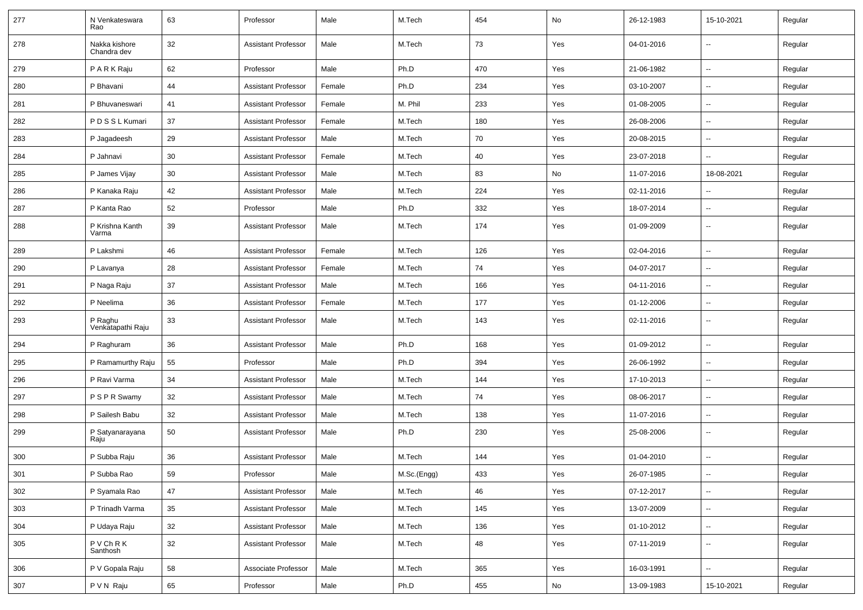| 277 | N Venkateswara<br>Rao        | 63 | Professor                  | Male   | M.Tech      | 454 | No  | 26-12-1983 | 15-10-2021               | Regular |
|-----|------------------------------|----|----------------------------|--------|-------------|-----|-----|------------|--------------------------|---------|
| 278 | Nakka kishore<br>Chandra dev | 32 | <b>Assistant Professor</b> | Male   | M.Tech      | 73  | Yes | 04-01-2016 | $\overline{\phantom{a}}$ | Regular |
| 279 | PARKRaju                     | 62 | Professor                  | Male   | Ph.D        | 470 | Yes | 21-06-1982 | $\sim$                   | Regular |
| 280 | P Bhavani                    | 44 | <b>Assistant Professor</b> | Female | Ph.D        | 234 | Yes | 03-10-2007 | -−                       | Regular |
| 281 | P Bhuvaneswari               | 41 | <b>Assistant Professor</b> | Female | M. Phil     | 233 | Yes | 01-08-2005 | $\overline{\phantom{a}}$ | Regular |
| 282 | PDSSLKumari                  | 37 | <b>Assistant Professor</b> | Female | M.Tech      | 180 | Yes | 26-08-2006 | --                       | Regular |
| 283 | P Jagadeesh                  | 29 | <b>Assistant Professor</b> | Male   | M.Tech      | 70  | Yes | 20-08-2015 | $\overline{\phantom{a}}$ | Regular |
| 284 | P Jahnavi                    | 30 | <b>Assistant Professor</b> | Female | M.Tech      | 40  | Yes | 23-07-2018 |                          | Regular |
| 285 | P James Vijay                | 30 | <b>Assistant Professor</b> | Male   | M.Tech      | 83  | No  | 11-07-2016 | 18-08-2021               | Regular |
| 286 | P Kanaka Raju                | 42 | <b>Assistant Professor</b> | Male   | M.Tech      | 224 | Yes | 02-11-2016 |                          | Regular |
| 287 | P Kanta Rao                  | 52 | Professor                  | Male   | Ph.D        | 332 | Yes | 18-07-2014 | $\overline{\phantom{a}}$ | Regular |
| 288 | P Krishna Kanth<br>Varma     | 39 | <b>Assistant Professor</b> | Male   | M.Tech      | 174 | Yes | 01-09-2009 | --                       | Regular |
| 289 | P Lakshmi                    | 46 | <b>Assistant Professor</b> | Female | M.Tech      | 126 | Yes | 02-04-2016 | $\overline{\phantom{a}}$ | Regular |
| 290 | P Lavanya                    | 28 | <b>Assistant Professor</b> | Female | M.Tech      | 74  | Yes | 04-07-2017 | --                       | Regular |
| 291 | P Naga Raju                  | 37 | <b>Assistant Professor</b> | Male   | M.Tech      | 166 | Yes | 04-11-2016 | $\overline{\phantom{a}}$ | Regular |
| 292 | P Neelima                    | 36 | <b>Assistant Professor</b> | Female | M.Tech      | 177 | Yes | 01-12-2006 | $\sim$                   | Regular |
| 293 | P Raghu<br>Venkatapathi Raju | 33 | <b>Assistant Professor</b> | Male   | M.Tech      | 143 | Yes | 02-11-2016 | $\overline{\phantom{a}}$ | Regular |
| 294 | P Raghuram                   | 36 | <b>Assistant Professor</b> | Male   | Ph.D        | 168 | Yes | 01-09-2012 | $\overline{\phantom{a}}$ | Regular |
| 295 | P Ramamurthy Raju            | 55 | Professor                  | Male   | Ph.D        | 394 | Yes | 26-06-1992 | $\overline{\phantom{a}}$ | Regular |
| 296 | P Ravi Varma                 | 34 | <b>Assistant Professor</b> | Male   | M.Tech      | 144 | Yes | 17-10-2013 | $\overline{\phantom{a}}$ | Regular |
| 297 | P S P R Swamy                | 32 | <b>Assistant Professor</b> | Male   | M.Tech      | 74  | Yes | 08-06-2017 | $\overline{\phantom{a}}$ | Regular |
| 298 | P Sailesh Babu               | 32 | <b>Assistant Professor</b> | Male   | M.Tech      | 138 | Yes | 11-07-2016 | $\mathbf{u}$             | Regular |
| 299 | P Satyanarayana<br>Raju      | 50 | <b>Assistant Professor</b> | Male   | Ph.D        | 230 | Yes | 25-08-2006 | н.                       | Regular |
| 300 | P Subba Raju                 | 36 | <b>Assistant Professor</b> | Male   | M.Tech      | 144 | Yes | 01-04-2010 | Ξ.                       | Regular |
| 301 | P Subba Rao                  | 59 | Professor                  | Male   | M.Sc.(Engg) | 433 | Yes | 26-07-1985 | $\sim$                   | Regular |
| 302 | P Syamala Rao                | 47 | <b>Assistant Professor</b> | Male   | M.Tech      | 46  | Yes | 07-12-2017 | щ.                       | Regular |
| 303 | P Trinadh Varma              | 35 | <b>Assistant Professor</b> | Male   | M.Tech      | 145 | Yes | 13-07-2009 | $\sim$                   | Regular |
| 304 | P Udaya Raju                 | 32 | Assistant Professor        | Male   | M.Tech      | 136 | Yes | 01-10-2012 | $\sim$                   | Regular |
| 305 | PVChRK<br>Santhosh           | 32 | <b>Assistant Professor</b> | Male   | M.Tech      | 48  | Yes | 07-11-2019 | $\sim$                   | Regular |
| 306 | P V Gopala Raju              | 58 | Associate Professor        | Male   | M.Tech      | 365 | Yes | 16-03-1991 | Щ,                       | Regular |
| 307 | P V N Raju                   | 65 | Professor                  | Male   | Ph.D        | 455 | No  | 13-09-1983 | 15-10-2021               | Regular |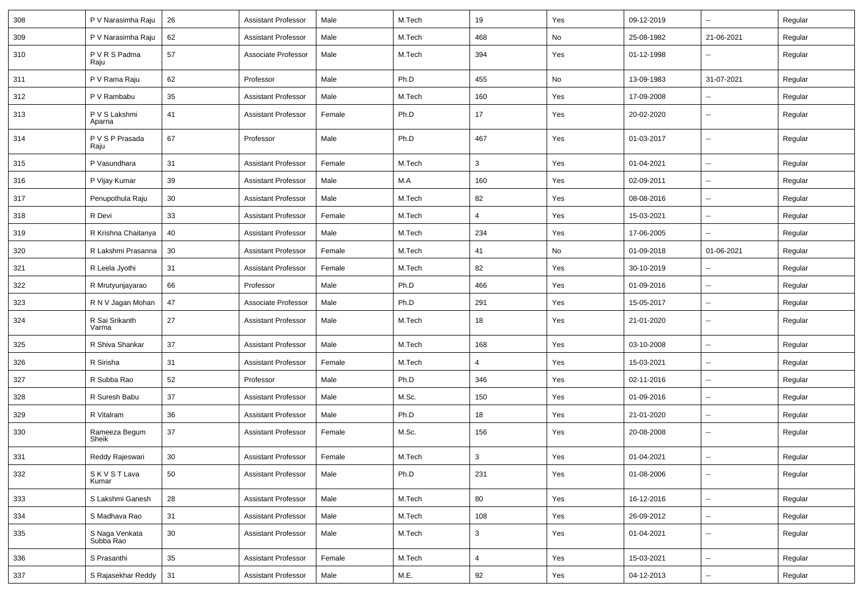| 308 | P V Narasimha Raju          | 26 | <b>Assistant Professor</b> | Male   | M.Tech | 19  | Yes | 09-12-2019 | -−                       | Regular |
|-----|-----------------------------|----|----------------------------|--------|--------|-----|-----|------------|--------------------------|---------|
| 309 | P V Narasimha Raju          | 62 | <b>Assistant Professor</b> | Male   | M.Tech | 468 | No  | 25-08-1982 | 21-06-2021               | Regular |
| 310 | P V R S Padma<br>Raju       | 57 | Associate Professor        | Male   | M.Tech | 394 | Yes | 01-12-1998 | -−                       | Regular |
| 311 | P V Rama Raju               | 62 | Professor                  | Male   | Ph.D   | 455 | No  | 13-09-1983 | 31-07-2021               | Regular |
| 312 | P V Rambabu                 | 35 | <b>Assistant Professor</b> | Male   | M.Tech | 160 | Yes | 17-09-2008 |                          | Regular |
| 313 | P V S Lakshmi<br>Aparna     | 41 | <b>Assistant Professor</b> | Female | Ph.D   | 17  | Yes | 20-02-2020 | $\sim$                   | Regular |
| 314 | P V S P Prasada<br>Raju     | 67 | Professor                  | Male   | Ph.D   | 467 | Yes | 01-03-2017 | $\sim$                   | Regular |
| 315 | P Vasundhara                | 31 | <b>Assistant Professor</b> | Female | M.Tech | 3   | Yes | 01-04-2021 | Щ,                       | Regular |
| 316 | P Vijay Kumar               | 39 | <b>Assistant Professor</b> | Male   | M.A    | 160 | Yes | 02-09-2011 | ⊶.                       | Regular |
| 317 | Penupothula Raju            | 30 | <b>Assistant Professor</b> | Male   | M.Tech | 82  | Yes | 08-08-2016 | -−                       | Regular |
| 318 | R Devi                      | 33 | <b>Assistant Professor</b> | Female | M.Tech | 4   | Yes | 15-03-2021 | $\sim$                   | Regular |
| 319 | R Krishna Chaitanya         | 40 | <b>Assistant Professor</b> | Male   | M.Tech | 234 | Yes | 17-06-2005 | --                       | Regular |
| 320 | R Lakshmi Prasanna          | 30 | <b>Assistant Professor</b> | Female | M.Tech | 41  | No  | 01-09-2018 | 01-06-2021               | Regular |
| 321 | R Leela Jyothi              | 31 | <b>Assistant Professor</b> | Female | M.Tech | 82  | Yes | 30-10-2019 | -−                       | Regular |
| 322 | R Mrutyunjayarao            | 66 | Professor                  | Male   | Ph.D   | 466 | Yes | 01-09-2016 | $\overline{\phantom{a}}$ | Regular |
| 323 | R N V Jagan Mohan           | 47 | Associate Professor        | Male   | Ph.D   | 291 | Yes | 15-05-2017 | -−                       | Regular |
| 324 | R Sai Srikanth<br>Varma     | 27 | <b>Assistant Professor</b> | Male   | M.Tech | 18  | Yes | 21-01-2020 | ⊷.                       | Regular |
| 325 | R Shiva Shankar             | 37 | <b>Assistant Professor</b> | Male   | M.Tech | 168 | Yes | 03-10-2008 | $\sim$                   | Regular |
| 326 | R Sirisha                   | 31 | <b>Assistant Professor</b> | Female | M.Tech | 4   | Yes | 15-03-2021 | ⊷.                       | Regular |
| 327 | R Subba Rao                 | 52 | Professor                  | Male   | Ph.D   | 346 | Yes | 02-11-2016 | -−                       | Regular |
| 328 | R Suresh Babu               | 37 | Assistant Professor        | Male   | M.Sc.  | 150 | Yes | 01-09-2016 | $\sim$                   | Regular |
| 329 | R Vitalram                  | 36 | <b>Assistant Professor</b> | Male   | Ph.D   | 18  | Yes | 21-01-2020 | ⊶.                       | Regular |
| 330 | Rameeza Begum<br>Sheik      | 37 | <b>Assistant Professor</b> | Female | M.Sc.  | 156 | Yes | 20-08-2008 | ⊶.                       | Regular |
| 331 | Reddy Rajeswari             | 30 | <b>Assistant Professor</b> | Female | M.Tech | 3   | Yes | 01-04-2021 | Щ.                       | Regular |
| 332 | SKVSTLava<br>Kumar          | 50 | <b>Assistant Professor</b> | Male   | Ph.D   | 231 | Yes | 01-08-2006 | $\overline{\phantom{a}}$ | Regular |
| 333 | S Lakshmi Ganesh            | 28 | <b>Assistant Professor</b> | Male   | M.Tech | 80  | Yes | 16-12-2016 | ш.                       | Regular |
| 334 | S Madhava Rao               | 31 | <b>Assistant Professor</b> | Male   | M.Tech | 108 | Yes | 26-09-2012 | $\overline{\phantom{a}}$ | Regular |
| 335 | S Naga Venkata<br>Subba Rao | 30 | <b>Assistant Professor</b> | Male   | M.Tech | 3   | Yes | 01-04-2021 | ш,                       | Regular |
| 336 | S Prasanthi                 | 35 | <b>Assistant Professor</b> | Female | M.Tech | 4   | Yes | 15-03-2021 | Щ.                       | Regular |
| 337 | S Rajasekhar Reddy          | 31 | <b>Assistant Professor</b> | Male   | M.E.   | 92  | Yes | 04-12-2013 | Щ,                       | Regular |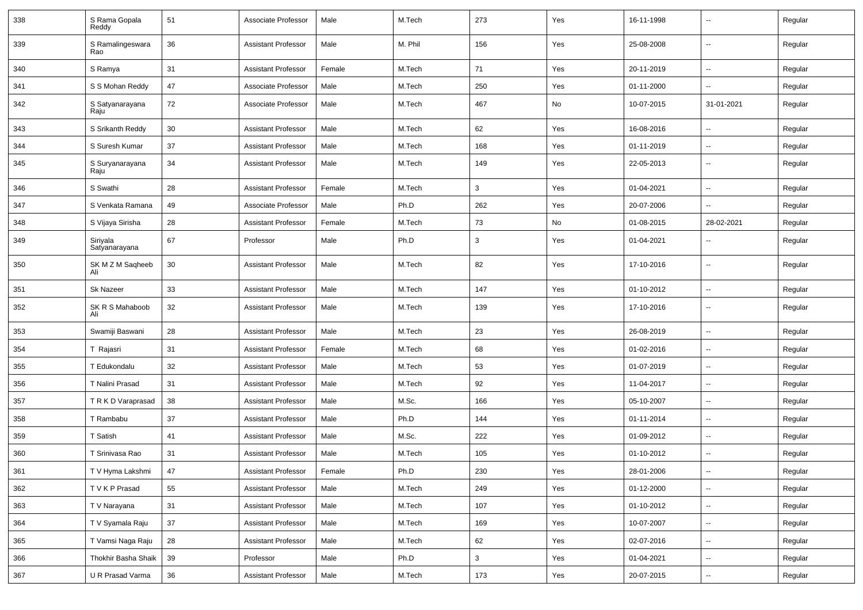| 338 | S Rama Gopala<br>Reddy    | 51 | Associate Professor        | Male   | M.Tech  | 273 | Yes | 16-11-1998 |                          | Regular |
|-----|---------------------------|----|----------------------------|--------|---------|-----|-----|------------|--------------------------|---------|
| 339 | S Ramalingeswara<br>Rao   | 36 | <b>Assistant Professor</b> | Male   | M. Phil | 156 | Yes | 25-08-2008 | $\overline{\phantom{a}}$ | Regular |
| 340 | S Ramya                   | 31 | <b>Assistant Professor</b> | Female | M.Tech  | 71  | Yes | 20-11-2019 | $\overline{\phantom{a}}$ | Regular |
| 341 | S S Mohan Reddy           | 47 | Associate Professor        | Male   | M.Tech  | 250 | Yes | 01-11-2000 | $\overline{\phantom{a}}$ | Regular |
| 342 | S Satyanarayana<br>Raju   | 72 | Associate Professor        | Male   | M.Tech  | 467 | No  | 10-07-2015 | 31-01-2021               | Regular |
| 343 | S Srikanth Reddy          | 30 | <b>Assistant Professor</b> | Male   | M.Tech  | 62  | Yes | 16-08-2016 | $\overline{\phantom{a}}$ | Regular |
| 344 | S Suresh Kumar            | 37 | <b>Assistant Professor</b> | Male   | M.Tech  | 168 | Yes | 01-11-2019 | -−                       | Regular |
| 345 | S Suryanarayana<br>Raju   | 34 | <b>Assistant Professor</b> | Male   | M.Tech  | 149 | Yes | 22-05-2013 | $\overline{\phantom{a}}$ | Regular |
| 346 | S Swathi                  | 28 | <b>Assistant Professor</b> | Female | M.Tech  | 3   | Yes | 01-04-2021 | Ξ.                       | Regular |
| 347 | S Venkata Ramana          | 49 | Associate Professor        | Male   | Ph.D    | 262 | Yes | 20-07-2006 | Ξ.                       | Regular |
| 348 | S Vijaya Sirisha          | 28 | <b>Assistant Professor</b> | Female | M.Tech  | 73  | No  | 01-08-2015 | 28-02-2021               | Regular |
| 349 | Siriyala<br>Satyanarayana | 67 | Professor                  | Male   | Ph.D    | 3   | Yes | 01-04-2021 | --                       | Regular |
| 350 | SK M Z M Saqheeb<br>Ali   | 30 | <b>Assistant Professor</b> | Male   | M.Tech  | 82  | Yes | 17-10-2016 | $\overline{\phantom{a}}$ | Regular |
| 351 | <b>Sk Nazeer</b>          | 33 | <b>Assistant Professor</b> | Male   | M.Tech  | 147 | Yes | 01-10-2012 | $\overline{\phantom{a}}$ | Regular |
| 352 | SK R S Mahaboob<br>Ali    | 32 | <b>Assistant Professor</b> | Male   | M.Tech  | 139 | Yes | 17-10-2016 | $\overline{\phantom{a}}$ | Regular |
| 353 | Swamiji Baswani           | 28 | <b>Assistant Professor</b> | Male   | M.Tech  | 23  | Yes | 26-08-2019 | $\overline{\phantom{a}}$ | Regular |
| 354 | T Rajasri                 | 31 | <b>Assistant Professor</b> | Female | M.Tech  | 68  | Yes | 01-02-2016 | --                       | Regular |
| 355 | T Edukondalu              | 32 | <b>Assistant Professor</b> | Male   | M.Tech  | 53  | Yes | 01-07-2019 | $\overline{\phantom{a}}$ | Regular |
| 356 | T Nalini Prasad           | 31 | <b>Assistant Professor</b> | Male   | M.Tech  | 92  | Yes | 11-04-2017 | $\sim$                   | Regular |
| 357 | T R K D Varaprasad        | 38 | <b>Assistant Professor</b> | Male   | M.Sc.   | 166 | Yes | 05-10-2007 | $\overline{\phantom{a}}$ | Regular |
| 358 | T Rambabu                 | 37 | <b>Assistant Professor</b> | Male   | Ph.D    | 144 | Yes | 01-11-2014 | $\overline{\phantom{a}}$ | Regular |
| 359 | T Satish                  | 41 | <b>Assistant Professor</b> | Male   | M.Sc.   | 222 | Yes | 01-09-2012 | $\overline{\phantom{a}}$ | Regular |
| 360 | T Srinivasa Rao           | 31 | <b>Assistant Professor</b> | Male   | M.Tech  | 105 | Yes | 01-10-2012 | --                       | Regular |
| 361 | T V Hyma Lakshmi          | 47 | Assistant Professor        | Female | Ph.D    | 230 | Yes | 28-01-2006 |                          | Regular |
| 362 | T V K P Prasad            | 55 | <b>Assistant Professor</b> | Male   | M.Tech  | 249 | Yes | 01-12-2000 | $\sim$                   | Regular |
| 363 | T V Narayana              | 31 | <b>Assistant Professor</b> | Male   | M.Tech  | 107 | Yes | 01-10-2012 | $\sim$                   | Regular |
| 364 | T V Syamala Raju          | 37 | <b>Assistant Professor</b> | Male   | M.Tech  | 169 | Yes | 10-07-2007 | $\sim$                   | Regular |
| 365 | T Vamsi Naga Raju         | 28 | <b>Assistant Professor</b> | Male   | M.Tech  | 62  | Yes | 02-07-2016 | $\sim$                   | Regular |
| 366 | Thokhir Basha Shaik       | 39 | Professor                  | Male   | Ph.D    | 3   | Yes | 01-04-2021 | $\sim$                   | Regular |
| 367 | U R Prasad Varma          | 36 | <b>Assistant Professor</b> | Male   | M.Tech  | 173 | Yes | 20-07-2015 | $\overline{\phantom{a}}$ | Regular |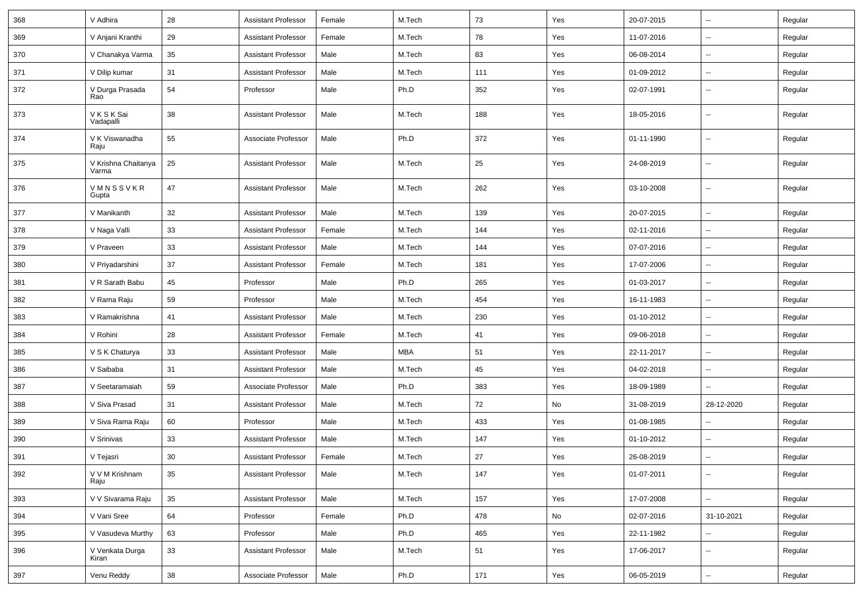| 368 | V Adhira                     | 28 | <b>Assistant Professor</b> | Female | M.Tech     | 73  | Yes | 20-07-2015 | $\overline{\phantom{a}}$ | Regular |
|-----|------------------------------|----|----------------------------|--------|------------|-----|-----|------------|--------------------------|---------|
| 369 | V Anjani Kranthi             | 29 | <b>Assistant Professor</b> | Female | M.Tech     | 78  | Yes | 11-07-2016 | $\sim$                   | Regular |
| 370 | V Chanakya Varma             | 35 | <b>Assistant Professor</b> | Male   | M.Tech     | 83  | Yes | 06-08-2014 | $\overline{\phantom{a}}$ | Regular |
| 371 | V Dilip kumar                | 31 | <b>Assistant Professor</b> | Male   | M.Tech     | 111 | Yes | 01-09-2012 | -−                       | Regular |
| 372 | V Durga Prasada<br>Rao       | 54 | Professor                  | Male   | Ph.D       | 352 | Yes | 02-07-1991 | Ξ.                       | Regular |
| 373 | V K S K Sai<br>Vadapalli     | 38 | <b>Assistant Professor</b> | Male   | M.Tech     | 188 | Yes | 18-05-2016 | Ξ.                       | Regular |
| 374 | V K Viswanadha<br>Raju       | 55 | Associate Professor        | Male   | Ph.D       | 372 | Yes | 01-11-1990 | Ξ.                       | Regular |
| 375 | V Krishna Chaitanya<br>Varma | 25 | <b>Assistant Professor</b> | Male   | M.Tech     | 25  | Yes | 24-08-2019 | Ξ.                       | Regular |
| 376 | VMNSSVKR<br>Gupta            | 47 | <b>Assistant Professor</b> | Male   | M.Tech     | 262 | Yes | 03-10-2008 | Ξ.                       | Regular |
| 377 | V Manikanth                  | 32 | <b>Assistant Professor</b> | Male   | M.Tech     | 139 | Yes | 20-07-2015 | ц.                       | Regular |
| 378 | V Naga Valli                 | 33 | <b>Assistant Professor</b> | Female | M.Tech     | 144 | Yes | 02-11-2016 | Ξ.                       | Regular |
| 379 | V Praveen                    | 33 | <b>Assistant Professor</b> | Male   | M.Tech     | 144 | Yes | 07-07-2016 | $\sim$                   | Regular |
| 380 | V Priyadarshini              | 37 | <b>Assistant Professor</b> | Female | M.Tech     | 181 | Yes | 17-07-2006 | Ξ.                       | Regular |
| 381 | V R Sarath Babu              | 45 | Professor                  | Male   | Ph.D       | 265 | Yes | 01-03-2017 | --                       | Regular |
| 382 | V Rama Raju                  | 59 | Professor                  | Male   | M.Tech     | 454 | Yes | 16-11-1983 | -−                       | Regular |
| 383 | V Ramakrishna                | 41 | <b>Assistant Professor</b> | Male   | M.Tech     | 230 | Yes | 01-10-2012 | Ξ.                       | Regular |
| 384 | V Rohini                     | 28 | <b>Assistant Professor</b> | Female | M.Tech     | 41  | Yes | 09-06-2018 | $\sim$                   | Regular |
| 385 | V S K Chaturya               | 33 | <b>Assistant Professor</b> | Male   | <b>MBA</b> | 51  | Yes | 22-11-2017 | $\sim$                   | Regular |
| 386 | V Saibaba                    | 31 | <b>Assistant Professor</b> | Male   | M.Tech     | 45  | Yes | 04-02-2018 | Ξ.                       | Regular |
| 387 | V Seetaramaiah               | 59 | Associate Professor        | Male   | Ph.D       | 383 | Yes | 18-09-1989 |                          | Regular |
| 388 | V Siva Prasad                | 31 | <b>Assistant Professor</b> | Male   | M.Tech     | 72  | No  | 31-08-2019 | 28-12-2020               | Regular |
| 389 | V Siva Rama Raju             | 60 | Professor                  | Male   | M.Tech     | 433 | Yes | 01-08-1985 | Ξ.                       | Regular |
| 390 | V Srinivas                   | 33 | <b>Assistant Professor</b> | Male   | M.Tech     | 147 | Yes | 01-10-2012 | Щ,                       | Regular |
| 391 | V Tejasri                    | 30 | <b>Assistant Professor</b> | Female | M.Tech     | 27  | Yes | 26-08-2019 | $\sim$                   | Regular |
| 392 | V V M Krishnam<br>Raju       | 35 | <b>Assistant Professor</b> | Male   | M.Tech     | 147 | Yes | 01-07-2011 | $\overline{\phantom{a}}$ | Regular |
| 393 | V V Sivarama Raju            | 35 | <b>Assistant Professor</b> | Male   | M.Tech     | 157 | Yes | 17-07-2008 | н.                       | Regular |
| 394 | V Vani Sree                  | 64 | Professor                  | Female | Ph.D       | 478 | No  | 02-07-2016 | 31-10-2021               | Regular |
| 395 | V Vasudeva Murthy            | 63 | Professor                  | Male   | Ph.D       | 465 | Yes | 22-11-1982 | -−                       | Regular |
| 396 | V Venkata Durga<br>Kiran     | 33 | <b>Assistant Professor</b> | Male   | M.Tech     | 51  | Yes | 17-06-2017 | $\sim$                   | Regular |
| 397 | Venu Reddy                   | 38 | Associate Professor        | Male   | Ph.D       | 171 | Yes | 06-05-2019 | $\overline{\phantom{a}}$ | Regular |